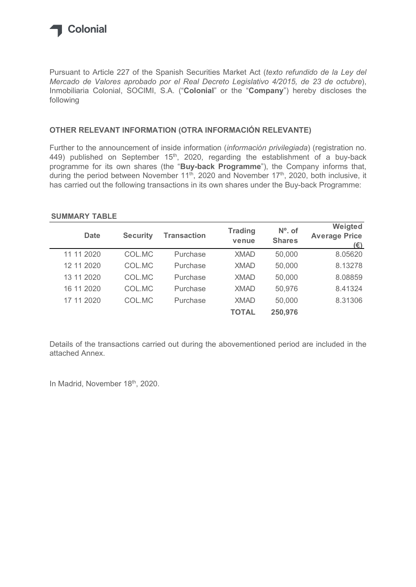

## OTHER RELEVANT INFORMATION (OTRA INFORMACIÓN RELEVANTE)

### SUMMARY TABLE

| Inmobiliaria Colonial, SOCIMI, S.A. ("Colonial" or the "Company") hereby discloses the<br>following                                                                        |                 |                                                                                                                     |                         |                            |                         |
|----------------------------------------------------------------------------------------------------------------------------------------------------------------------------|-----------------|---------------------------------------------------------------------------------------------------------------------|-------------------------|----------------------------|-------------------------|
| OTHER RELEVANT INFORMATION (OTRA INFORMACIÓN RELEVANTE)                                                                                                                    |                 |                                                                                                                     |                         |                            |                         |
| 449) published on September $15th$ , 2020, regarding the establishment of a buy-back<br>programme for its own shares (the "Buy-back Programme"), the Company informs that, |                 | during the period between November 11 <sup>th</sup> , 2020 and November 17 <sup>th</sup> , 2020, both inclusive, it |                         |                            |                         |
| has carried out the following transactions in its own shares under the Buy-back Programme:<br><b>SUMMARY TABLE</b>                                                         |                 |                                                                                                                     |                         |                            | Weigted                 |
| <b>Date</b>                                                                                                                                                                | <b>Security</b> | <b>Transaction</b>                                                                                                  | <b>Trading</b><br>venue | $No$ . of<br><b>Shares</b> | <b>Average Price</b>    |
| 11 11 2020                                                                                                                                                                 | COL.MC          | Purchase                                                                                                            | <b>XMAD</b>             | 50,000                     | $(\epsilon)$<br>8.05620 |
| 12 11 2020                                                                                                                                                                 | COL.MC          | Purchase                                                                                                            | <b>XMAD</b>             | 50,000                     | 8.13278                 |
| 13 11 2020                                                                                                                                                                 | COL.MC          | Purchase                                                                                                            | <b>XMAD</b>             | 50,000                     | 8.08859                 |
| 16 11 2020                                                                                                                                                                 | COL.MC          | Purchase                                                                                                            | <b>XMAD</b>             | 50,976                     | 8.41324                 |
| 17 11 2020                                                                                                                                                                 | COL.MC          | Purchase                                                                                                            | <b>XMAD</b>             | 50,000                     | 8.31306                 |

Details of the transactions carried out during the abovementioned period are included in the attached Annex.

In Madrid, November 18th, 2020.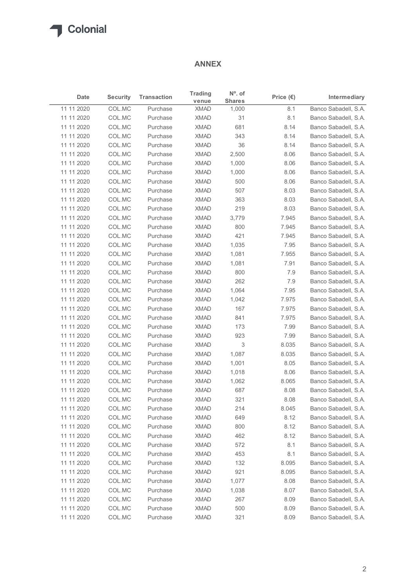# ANNEX

| $N^{\circ}$ . of<br><b>Trading</b><br><b>Security</b><br><b>Transaction</b><br>Price $(\epsilon)$<br>Intermediary<br>Date<br><b>Shares</b><br>venue<br>COL.MC<br><b>XMAD</b><br>8.1<br>Purchase<br>1,000<br>11 11 2020<br>COL.MC<br>XMAD<br>31<br>8.1<br>Banco Sabadell, S.A.<br>Purchase<br>COL.MC<br><b>XMAD</b><br>681<br>Banco Sabadell, S.A.<br>11 11 2020<br>Purchase<br>8.14<br>COL.MC<br><b>XMAD</b><br>11 11 2020<br>Purchase<br>343<br>8.14<br>Banco Sabadell, S.A.<br>11 11 2020<br>COL.MC<br>XMAD<br>36<br>Purchase<br>8.14<br>COL.MC<br>XMAD<br>2,500<br>Banco Sabadell, S.A.<br>11 11 2020<br>Purchase<br>8.06<br>COL.MC<br>XMAD<br>1,000<br>11 11 2020<br>Purchase<br>8.06<br>Banco Sabadell, S.A.<br>COL.MC<br>11 11 2020<br>Purchase<br><b>XMAD</b><br>1,000<br>8.06<br>COL.MC<br><b>XMAD</b><br>500<br>Banco Sabadell, S.A.<br>11 11 2020<br>8.06<br>Purchase<br><b>XMAD</b><br>11 11 2020<br>COL.MC<br>Purchase<br>507<br>8.03<br>Banco Sabadell, S.A.<br>COL.MC<br>XMAD<br>363<br>11 11 2020<br>Purchase<br>8.03<br>Banco Sabadell, S.A.<br>COL.MC<br>XMAD<br>219<br>8.03<br>Banco Sabadell, S.A.<br>11 11 2020<br>Purchase<br>COL.MC<br><b>XMAD</b><br>3,779<br>7.945<br>11 11 2020<br>Purchase<br>Banco Sabadell, S.A.<br>800<br>11 11 2020<br>COL.MC<br>XMAD<br>7.945<br>Purchase<br>11 11 2020<br>COL.MC<br><b>XMAD</b><br>421<br>7.945<br>Purchase<br>COL.MC<br><b>XMAD</b><br>7.95<br>11 11 2020<br>Purchase<br>1,035<br>COL.MC<br><b>XMAD</b><br>1,081<br>7.955<br>11 11 2020<br>Purchase<br>11 11 2020<br>COL.MC<br><b>XMAD</b><br>7.91<br>Purchase<br>1,081<br>COL.MC<br>Purchase<br><b>XMAD</b><br>800<br>7.9<br>11 11 2020<br>COL.MC<br><b>XMAD</b><br>262<br>7.9<br>11 11 2020<br>Purchase<br><b>XMAD</b><br>1,064<br>11 11 2020<br>COL.MC<br>Purchase<br>7.95<br>COL.MC<br><b>XMAD</b><br>1,042<br>7.975<br>Purchase<br>11 11 2020<br>COL.MC<br><b>XMAD</b><br>167<br>7.975<br>Purchase<br>11 11 2020<br>COL.MC<br><b>XMAD</b><br>841<br>7.975<br>Purchase<br>COL.MC<br><b>XMAD</b><br>7.99<br>11 11 2020<br>Purchase<br>173<br>COL.MC<br>923<br>7.99<br>11 11 2020<br>Purchase<br><b>XMAD</b><br>COL.MC<br><b>XMAD</b><br>3<br>8.035<br>11 11 2020<br>Purchase<br>11 11 2020<br>COL.MC<br><b>XMAD</b><br>1,087<br>8.035<br>Purchase<br>COL.MC<br><b>XMAD</b><br>8.05<br>11 11 2020<br>Purchase<br>1,001<br>COL.MC<br><b>XMAD</b><br>8.06<br>11 11 2020<br>Purchase<br>1,018<br>COL.MC<br>Purchase<br><b>XMAD</b><br>8.065<br>11 11 2020<br>1,062<br>COL.MC<br><b>XMAD</b><br>687<br>8.08<br>11 11 2020<br>Purchase<br><b>XMAD</b><br>321<br>11 11 2020<br>COL.MC<br>Purchase<br>8.08<br>11 11 2020<br>COL.MC<br><b>XMAD</b><br>214<br>8.045<br>Purchase<br>COL.MC<br><b>XMAD</b><br>649<br>8.12<br>Purchase<br>COL.MC<br><b>XMAD</b><br>Purchase<br>800<br>8.12<br>COL.MC<br><b>XMAD</b><br>462<br>Purchase<br>8.12<br>572<br>COL.MC<br>Purchase<br><b>XMAD</b><br>8.1<br>COL.MC<br><b>XMAD</b><br>Purchase<br>453<br>8.1 |            |        |          | <b>ANNEX</b> |     |       |                      |
|-------------------------------------------------------------------------------------------------------------------------------------------------------------------------------------------------------------------------------------------------------------------------------------------------------------------------------------------------------------------------------------------------------------------------------------------------------------------------------------------------------------------------------------------------------------------------------------------------------------------------------------------------------------------------------------------------------------------------------------------------------------------------------------------------------------------------------------------------------------------------------------------------------------------------------------------------------------------------------------------------------------------------------------------------------------------------------------------------------------------------------------------------------------------------------------------------------------------------------------------------------------------------------------------------------------------------------------------------------------------------------------------------------------------------------------------------------------------------------------------------------------------------------------------------------------------------------------------------------------------------------------------------------------------------------------------------------------------------------------------------------------------------------------------------------------------------------------------------------------------------------------------------------------------------------------------------------------------------------------------------------------------------------------------------------------------------------------------------------------------------------------------------------------------------------------------------------------------------------------------------------------------------------------------------------------------------------------------------------------------------------------------------------------------------------------------------------------------------------------------------------------------------------------------------------------------------------------------------------------------------------------------------------------------------------------------------------------------------------------------------------------------------------------------------------------------------------------------------------------------------------------------------------------------------------------------------------------|------------|--------|----------|--------------|-----|-------|----------------------|
| Banco Sabadell, S.A.<br>Banco Sabadell, S.A.<br>Banco Sabadell, S.A.<br>Banco Sabadell, S.A.<br>Banco Sabadell, S.A.<br>Banco Sabadell, S.A.<br>Banco Sabadell, S.A.<br>Banco Sabadell, S.A.<br>Banco Sabadell, S.A.<br>Banco Sabadell, S.A.<br>Banco Sabadell, S.A.<br>Banco Sabadell, S.A.<br>Banco Sabadell, S.A.<br>Banco Sabadell, S.A.<br>Banco Sabadell, S.A.<br>Banco Sabadell, S.A.<br>Banco Sabadell, S.A.<br>Banco Sabadell, S.A.<br>Banco Sabadell, S.A.<br>Banco Sabadell, S.A.<br>Banco Sabadell, S.A.<br>Banco Sabadell, S.A.<br>Banco Sabadell, S.A.<br>Banco Sabadell, S.A.<br>Banco Sabadell, S.A.<br>Banco Sabadell, S.A.<br>Banco Sabadell, S.A.<br>Banco Sabadell, S.A.<br>Banco Sabadell, S.A.                                                                                                                                                                                                                                                                                                                                                                                                                                                                                                                                                                                                                                                                                                                                                                                                                                                                                                                                                                                                                                                                                                                                                                                                                                                                                                                                                                                                                                                                                                                                                                                                                                                                                                                                                                                                                                                                                                                                                                                                                                                                                                                                                                                                                                        |            |        |          |              |     |       |                      |
|                                                                                                                                                                                                                                                                                                                                                                                                                                                                                                                                                                                                                                                                                                                                                                                                                                                                                                                                                                                                                                                                                                                                                                                                                                                                                                                                                                                                                                                                                                                                                                                                                                                                                                                                                                                                                                                                                                                                                                                                                                                                                                                                                                                                                                                                                                                                                                                                                                                                                                                                                                                                                                                                                                                                                                                                                                                                                                                                                             | 11 11 2020 |        |          |              |     |       |                      |
|                                                                                                                                                                                                                                                                                                                                                                                                                                                                                                                                                                                                                                                                                                                                                                                                                                                                                                                                                                                                                                                                                                                                                                                                                                                                                                                                                                                                                                                                                                                                                                                                                                                                                                                                                                                                                                                                                                                                                                                                                                                                                                                                                                                                                                                                                                                                                                                                                                                                                                                                                                                                                                                                                                                                                                                                                                                                                                                                                             |            |        |          |              |     |       |                      |
|                                                                                                                                                                                                                                                                                                                                                                                                                                                                                                                                                                                                                                                                                                                                                                                                                                                                                                                                                                                                                                                                                                                                                                                                                                                                                                                                                                                                                                                                                                                                                                                                                                                                                                                                                                                                                                                                                                                                                                                                                                                                                                                                                                                                                                                                                                                                                                                                                                                                                                                                                                                                                                                                                                                                                                                                                                                                                                                                                             |            |        |          |              |     |       |                      |
|                                                                                                                                                                                                                                                                                                                                                                                                                                                                                                                                                                                                                                                                                                                                                                                                                                                                                                                                                                                                                                                                                                                                                                                                                                                                                                                                                                                                                                                                                                                                                                                                                                                                                                                                                                                                                                                                                                                                                                                                                                                                                                                                                                                                                                                                                                                                                                                                                                                                                                                                                                                                                                                                                                                                                                                                                                                                                                                                                             |            |        |          |              |     |       |                      |
|                                                                                                                                                                                                                                                                                                                                                                                                                                                                                                                                                                                                                                                                                                                                                                                                                                                                                                                                                                                                                                                                                                                                                                                                                                                                                                                                                                                                                                                                                                                                                                                                                                                                                                                                                                                                                                                                                                                                                                                                                                                                                                                                                                                                                                                                                                                                                                                                                                                                                                                                                                                                                                                                                                                                                                                                                                                                                                                                                             |            |        |          |              |     |       |                      |
|                                                                                                                                                                                                                                                                                                                                                                                                                                                                                                                                                                                                                                                                                                                                                                                                                                                                                                                                                                                                                                                                                                                                                                                                                                                                                                                                                                                                                                                                                                                                                                                                                                                                                                                                                                                                                                                                                                                                                                                                                                                                                                                                                                                                                                                                                                                                                                                                                                                                                                                                                                                                                                                                                                                                                                                                                                                                                                                                                             |            |        |          |              |     |       |                      |
|                                                                                                                                                                                                                                                                                                                                                                                                                                                                                                                                                                                                                                                                                                                                                                                                                                                                                                                                                                                                                                                                                                                                                                                                                                                                                                                                                                                                                                                                                                                                                                                                                                                                                                                                                                                                                                                                                                                                                                                                                                                                                                                                                                                                                                                                                                                                                                                                                                                                                                                                                                                                                                                                                                                                                                                                                                                                                                                                                             |            |        |          |              |     |       |                      |
|                                                                                                                                                                                                                                                                                                                                                                                                                                                                                                                                                                                                                                                                                                                                                                                                                                                                                                                                                                                                                                                                                                                                                                                                                                                                                                                                                                                                                                                                                                                                                                                                                                                                                                                                                                                                                                                                                                                                                                                                                                                                                                                                                                                                                                                                                                                                                                                                                                                                                                                                                                                                                                                                                                                                                                                                                                                                                                                                                             |            |        |          |              |     |       |                      |
|                                                                                                                                                                                                                                                                                                                                                                                                                                                                                                                                                                                                                                                                                                                                                                                                                                                                                                                                                                                                                                                                                                                                                                                                                                                                                                                                                                                                                                                                                                                                                                                                                                                                                                                                                                                                                                                                                                                                                                                                                                                                                                                                                                                                                                                                                                                                                                                                                                                                                                                                                                                                                                                                                                                                                                                                                                                                                                                                                             |            |        |          |              |     |       |                      |
|                                                                                                                                                                                                                                                                                                                                                                                                                                                                                                                                                                                                                                                                                                                                                                                                                                                                                                                                                                                                                                                                                                                                                                                                                                                                                                                                                                                                                                                                                                                                                                                                                                                                                                                                                                                                                                                                                                                                                                                                                                                                                                                                                                                                                                                                                                                                                                                                                                                                                                                                                                                                                                                                                                                                                                                                                                                                                                                                                             |            |        |          |              |     |       |                      |
|                                                                                                                                                                                                                                                                                                                                                                                                                                                                                                                                                                                                                                                                                                                                                                                                                                                                                                                                                                                                                                                                                                                                                                                                                                                                                                                                                                                                                                                                                                                                                                                                                                                                                                                                                                                                                                                                                                                                                                                                                                                                                                                                                                                                                                                                                                                                                                                                                                                                                                                                                                                                                                                                                                                                                                                                                                                                                                                                                             |            |        |          |              |     |       |                      |
|                                                                                                                                                                                                                                                                                                                                                                                                                                                                                                                                                                                                                                                                                                                                                                                                                                                                                                                                                                                                                                                                                                                                                                                                                                                                                                                                                                                                                                                                                                                                                                                                                                                                                                                                                                                                                                                                                                                                                                                                                                                                                                                                                                                                                                                                                                                                                                                                                                                                                                                                                                                                                                                                                                                                                                                                                                                                                                                                                             |            |        |          |              |     |       |                      |
|                                                                                                                                                                                                                                                                                                                                                                                                                                                                                                                                                                                                                                                                                                                                                                                                                                                                                                                                                                                                                                                                                                                                                                                                                                                                                                                                                                                                                                                                                                                                                                                                                                                                                                                                                                                                                                                                                                                                                                                                                                                                                                                                                                                                                                                                                                                                                                                                                                                                                                                                                                                                                                                                                                                                                                                                                                                                                                                                                             |            |        |          |              |     |       |                      |
|                                                                                                                                                                                                                                                                                                                                                                                                                                                                                                                                                                                                                                                                                                                                                                                                                                                                                                                                                                                                                                                                                                                                                                                                                                                                                                                                                                                                                                                                                                                                                                                                                                                                                                                                                                                                                                                                                                                                                                                                                                                                                                                                                                                                                                                                                                                                                                                                                                                                                                                                                                                                                                                                                                                                                                                                                                                                                                                                                             |            |        |          |              |     |       |                      |
|                                                                                                                                                                                                                                                                                                                                                                                                                                                                                                                                                                                                                                                                                                                                                                                                                                                                                                                                                                                                                                                                                                                                                                                                                                                                                                                                                                                                                                                                                                                                                                                                                                                                                                                                                                                                                                                                                                                                                                                                                                                                                                                                                                                                                                                                                                                                                                                                                                                                                                                                                                                                                                                                                                                                                                                                                                                                                                                                                             |            |        |          |              |     |       |                      |
|                                                                                                                                                                                                                                                                                                                                                                                                                                                                                                                                                                                                                                                                                                                                                                                                                                                                                                                                                                                                                                                                                                                                                                                                                                                                                                                                                                                                                                                                                                                                                                                                                                                                                                                                                                                                                                                                                                                                                                                                                                                                                                                                                                                                                                                                                                                                                                                                                                                                                                                                                                                                                                                                                                                                                                                                                                                                                                                                                             |            |        |          |              |     |       |                      |
|                                                                                                                                                                                                                                                                                                                                                                                                                                                                                                                                                                                                                                                                                                                                                                                                                                                                                                                                                                                                                                                                                                                                                                                                                                                                                                                                                                                                                                                                                                                                                                                                                                                                                                                                                                                                                                                                                                                                                                                                                                                                                                                                                                                                                                                                                                                                                                                                                                                                                                                                                                                                                                                                                                                                                                                                                                                                                                                                                             |            |        |          |              |     |       |                      |
|                                                                                                                                                                                                                                                                                                                                                                                                                                                                                                                                                                                                                                                                                                                                                                                                                                                                                                                                                                                                                                                                                                                                                                                                                                                                                                                                                                                                                                                                                                                                                                                                                                                                                                                                                                                                                                                                                                                                                                                                                                                                                                                                                                                                                                                                                                                                                                                                                                                                                                                                                                                                                                                                                                                                                                                                                                                                                                                                                             |            |        |          |              |     |       |                      |
|                                                                                                                                                                                                                                                                                                                                                                                                                                                                                                                                                                                                                                                                                                                                                                                                                                                                                                                                                                                                                                                                                                                                                                                                                                                                                                                                                                                                                                                                                                                                                                                                                                                                                                                                                                                                                                                                                                                                                                                                                                                                                                                                                                                                                                                                                                                                                                                                                                                                                                                                                                                                                                                                                                                                                                                                                                                                                                                                                             |            |        |          |              |     |       |                      |
|                                                                                                                                                                                                                                                                                                                                                                                                                                                                                                                                                                                                                                                                                                                                                                                                                                                                                                                                                                                                                                                                                                                                                                                                                                                                                                                                                                                                                                                                                                                                                                                                                                                                                                                                                                                                                                                                                                                                                                                                                                                                                                                                                                                                                                                                                                                                                                                                                                                                                                                                                                                                                                                                                                                                                                                                                                                                                                                                                             |            |        |          |              |     |       |                      |
|                                                                                                                                                                                                                                                                                                                                                                                                                                                                                                                                                                                                                                                                                                                                                                                                                                                                                                                                                                                                                                                                                                                                                                                                                                                                                                                                                                                                                                                                                                                                                                                                                                                                                                                                                                                                                                                                                                                                                                                                                                                                                                                                                                                                                                                                                                                                                                                                                                                                                                                                                                                                                                                                                                                                                                                                                                                                                                                                                             | 11 11 2020 |        |          |              |     |       |                      |
|                                                                                                                                                                                                                                                                                                                                                                                                                                                                                                                                                                                                                                                                                                                                                                                                                                                                                                                                                                                                                                                                                                                                                                                                                                                                                                                                                                                                                                                                                                                                                                                                                                                                                                                                                                                                                                                                                                                                                                                                                                                                                                                                                                                                                                                                                                                                                                                                                                                                                                                                                                                                                                                                                                                                                                                                                                                                                                                                                             |            |        |          |              |     |       |                      |
|                                                                                                                                                                                                                                                                                                                                                                                                                                                                                                                                                                                                                                                                                                                                                                                                                                                                                                                                                                                                                                                                                                                                                                                                                                                                                                                                                                                                                                                                                                                                                                                                                                                                                                                                                                                                                                                                                                                                                                                                                                                                                                                                                                                                                                                                                                                                                                                                                                                                                                                                                                                                                                                                                                                                                                                                                                                                                                                                                             |            |        |          |              |     |       |                      |
|                                                                                                                                                                                                                                                                                                                                                                                                                                                                                                                                                                                                                                                                                                                                                                                                                                                                                                                                                                                                                                                                                                                                                                                                                                                                                                                                                                                                                                                                                                                                                                                                                                                                                                                                                                                                                                                                                                                                                                                                                                                                                                                                                                                                                                                                                                                                                                                                                                                                                                                                                                                                                                                                                                                                                                                                                                                                                                                                                             |            |        |          |              |     |       |                      |
|                                                                                                                                                                                                                                                                                                                                                                                                                                                                                                                                                                                                                                                                                                                                                                                                                                                                                                                                                                                                                                                                                                                                                                                                                                                                                                                                                                                                                                                                                                                                                                                                                                                                                                                                                                                                                                                                                                                                                                                                                                                                                                                                                                                                                                                                                                                                                                                                                                                                                                                                                                                                                                                                                                                                                                                                                                                                                                                                                             |            |        |          |              |     |       |                      |
|                                                                                                                                                                                                                                                                                                                                                                                                                                                                                                                                                                                                                                                                                                                                                                                                                                                                                                                                                                                                                                                                                                                                                                                                                                                                                                                                                                                                                                                                                                                                                                                                                                                                                                                                                                                                                                                                                                                                                                                                                                                                                                                                                                                                                                                                                                                                                                                                                                                                                                                                                                                                                                                                                                                                                                                                                                                                                                                                                             |            |        |          |              |     |       |                      |
|                                                                                                                                                                                                                                                                                                                                                                                                                                                                                                                                                                                                                                                                                                                                                                                                                                                                                                                                                                                                                                                                                                                                                                                                                                                                                                                                                                                                                                                                                                                                                                                                                                                                                                                                                                                                                                                                                                                                                                                                                                                                                                                                                                                                                                                                                                                                                                                                                                                                                                                                                                                                                                                                                                                                                                                                                                                                                                                                                             |            |        |          |              |     |       |                      |
|                                                                                                                                                                                                                                                                                                                                                                                                                                                                                                                                                                                                                                                                                                                                                                                                                                                                                                                                                                                                                                                                                                                                                                                                                                                                                                                                                                                                                                                                                                                                                                                                                                                                                                                                                                                                                                                                                                                                                                                                                                                                                                                                                                                                                                                                                                                                                                                                                                                                                                                                                                                                                                                                                                                                                                                                                                                                                                                                                             |            |        |          |              |     |       |                      |
|                                                                                                                                                                                                                                                                                                                                                                                                                                                                                                                                                                                                                                                                                                                                                                                                                                                                                                                                                                                                                                                                                                                                                                                                                                                                                                                                                                                                                                                                                                                                                                                                                                                                                                                                                                                                                                                                                                                                                                                                                                                                                                                                                                                                                                                                                                                                                                                                                                                                                                                                                                                                                                                                                                                                                                                                                                                                                                                                                             |            |        |          |              |     |       |                      |
|                                                                                                                                                                                                                                                                                                                                                                                                                                                                                                                                                                                                                                                                                                                                                                                                                                                                                                                                                                                                                                                                                                                                                                                                                                                                                                                                                                                                                                                                                                                                                                                                                                                                                                                                                                                                                                                                                                                                                                                                                                                                                                                                                                                                                                                                                                                                                                                                                                                                                                                                                                                                                                                                                                                                                                                                                                                                                                                                                             |            |        |          |              |     |       |                      |
|                                                                                                                                                                                                                                                                                                                                                                                                                                                                                                                                                                                                                                                                                                                                                                                                                                                                                                                                                                                                                                                                                                                                                                                                                                                                                                                                                                                                                                                                                                                                                                                                                                                                                                                                                                                                                                                                                                                                                                                                                                                                                                                                                                                                                                                                                                                                                                                                                                                                                                                                                                                                                                                                                                                                                                                                                                                                                                                                                             |            |        |          |              |     |       |                      |
|                                                                                                                                                                                                                                                                                                                                                                                                                                                                                                                                                                                                                                                                                                                                                                                                                                                                                                                                                                                                                                                                                                                                                                                                                                                                                                                                                                                                                                                                                                                                                                                                                                                                                                                                                                                                                                                                                                                                                                                                                                                                                                                                                                                                                                                                                                                                                                                                                                                                                                                                                                                                                                                                                                                                                                                                                                                                                                                                                             |            |        |          |              |     |       |                      |
|                                                                                                                                                                                                                                                                                                                                                                                                                                                                                                                                                                                                                                                                                                                                                                                                                                                                                                                                                                                                                                                                                                                                                                                                                                                                                                                                                                                                                                                                                                                                                                                                                                                                                                                                                                                                                                                                                                                                                                                                                                                                                                                                                                                                                                                                                                                                                                                                                                                                                                                                                                                                                                                                                                                                                                                                                                                                                                                                                             |            |        |          |              |     |       |                      |
|                                                                                                                                                                                                                                                                                                                                                                                                                                                                                                                                                                                                                                                                                                                                                                                                                                                                                                                                                                                                                                                                                                                                                                                                                                                                                                                                                                                                                                                                                                                                                                                                                                                                                                                                                                                                                                                                                                                                                                                                                                                                                                                                                                                                                                                                                                                                                                                                                                                                                                                                                                                                                                                                                                                                                                                                                                                                                                                                                             | 11 11 2020 |        |          |              |     |       |                      |
|                                                                                                                                                                                                                                                                                                                                                                                                                                                                                                                                                                                                                                                                                                                                                                                                                                                                                                                                                                                                                                                                                                                                                                                                                                                                                                                                                                                                                                                                                                                                                                                                                                                                                                                                                                                                                                                                                                                                                                                                                                                                                                                                                                                                                                                                                                                                                                                                                                                                                                                                                                                                                                                                                                                                                                                                                                                                                                                                                             | 11 11 2020 |        |          |              |     |       |                      |
|                                                                                                                                                                                                                                                                                                                                                                                                                                                                                                                                                                                                                                                                                                                                                                                                                                                                                                                                                                                                                                                                                                                                                                                                                                                                                                                                                                                                                                                                                                                                                                                                                                                                                                                                                                                                                                                                                                                                                                                                                                                                                                                                                                                                                                                                                                                                                                                                                                                                                                                                                                                                                                                                                                                                                                                                                                                                                                                                                             | 11 11 2020 |        |          |              |     |       |                      |
|                                                                                                                                                                                                                                                                                                                                                                                                                                                                                                                                                                                                                                                                                                                                                                                                                                                                                                                                                                                                                                                                                                                                                                                                                                                                                                                                                                                                                                                                                                                                                                                                                                                                                                                                                                                                                                                                                                                                                                                                                                                                                                                                                                                                                                                                                                                                                                                                                                                                                                                                                                                                                                                                                                                                                                                                                                                                                                                                                             | 11 11 2020 |        |          |              |     |       |                      |
|                                                                                                                                                                                                                                                                                                                                                                                                                                                                                                                                                                                                                                                                                                                                                                                                                                                                                                                                                                                                                                                                                                                                                                                                                                                                                                                                                                                                                                                                                                                                                                                                                                                                                                                                                                                                                                                                                                                                                                                                                                                                                                                                                                                                                                                                                                                                                                                                                                                                                                                                                                                                                                                                                                                                                                                                                                                                                                                                                             | 11 11 2020 |        |          |              |     |       |                      |
|                                                                                                                                                                                                                                                                                                                                                                                                                                                                                                                                                                                                                                                                                                                                                                                                                                                                                                                                                                                                                                                                                                                                                                                                                                                                                                                                                                                                                                                                                                                                                                                                                                                                                                                                                                                                                                                                                                                                                                                                                                                                                                                                                                                                                                                                                                                                                                                                                                                                                                                                                                                                                                                                                                                                                                                                                                                                                                                                                             | 11 11 2020 | COL.MC | Purchase | <b>XMAD</b>  | 132 | 8.095 | Banco Sabadell, S.A. |
| COL.MC<br><b>XMAD</b><br>921<br>8.095<br>Banco Sabadell, S.A.<br>Purchase                                                                                                                                                                                                                                                                                                                                                                                                                                                                                                                                                                                                                                                                                                                                                                                                                                                                                                                                                                                                                                                                                                                                                                                                                                                                                                                                                                                                                                                                                                                                                                                                                                                                                                                                                                                                                                                                                                                                                                                                                                                                                                                                                                                                                                                                                                                                                                                                                                                                                                                                                                                                                                                                                                                                                                                                                                                                                   | 11 11 2020 |        |          |              |     |       |                      |
| COL.MC<br><b>XMAD</b><br>Banco Sabadell, S.A.<br>Purchase<br>1,077<br>8.08                                                                                                                                                                                                                                                                                                                                                                                                                                                                                                                                                                                                                                                                                                                                                                                                                                                                                                                                                                                                                                                                                                                                                                                                                                                                                                                                                                                                                                                                                                                                                                                                                                                                                                                                                                                                                                                                                                                                                                                                                                                                                                                                                                                                                                                                                                                                                                                                                                                                                                                                                                                                                                                                                                                                                                                                                                                                                  | 11 11 2020 |        |          |              |     |       |                      |
| COL.MC<br><b>XMAD</b><br>8.07<br>Banco Sabadell, S.A.<br>Purchase<br>1,038                                                                                                                                                                                                                                                                                                                                                                                                                                                                                                                                                                                                                                                                                                                                                                                                                                                                                                                                                                                                                                                                                                                                                                                                                                                                                                                                                                                                                                                                                                                                                                                                                                                                                                                                                                                                                                                                                                                                                                                                                                                                                                                                                                                                                                                                                                                                                                                                                                                                                                                                                                                                                                                                                                                                                                                                                                                                                  | 11 11 2020 |        |          |              |     |       |                      |
| COL.MC<br><b>XMAD</b><br>267<br>Banco Sabadell, S.A.<br>11 11 2020<br>Purchase<br>8.09                                                                                                                                                                                                                                                                                                                                                                                                                                                                                                                                                                                                                                                                                                                                                                                                                                                                                                                                                                                                                                                                                                                                                                                                                                                                                                                                                                                                                                                                                                                                                                                                                                                                                                                                                                                                                                                                                                                                                                                                                                                                                                                                                                                                                                                                                                                                                                                                                                                                                                                                                                                                                                                                                                                                                                                                                                                                      |            |        |          |              |     |       |                      |
| <b>XMAD</b><br>500<br>COL.MC<br>Purchase<br>8.09<br>Banco Sabadell, S.A.                                                                                                                                                                                                                                                                                                                                                                                                                                                                                                                                                                                                                                                                                                                                                                                                                                                                                                                                                                                                                                                                                                                                                                                                                                                                                                                                                                                                                                                                                                                                                                                                                                                                                                                                                                                                                                                                                                                                                                                                                                                                                                                                                                                                                                                                                                                                                                                                                                                                                                                                                                                                                                                                                                                                                                                                                                                                                    |            |        |          |              |     |       |                      |
| 11 11 2020<br>COL.MC<br><b>XMAD</b><br>321<br>8.09<br>Banco Sabadell, S.A.<br>Purchase                                                                                                                                                                                                                                                                                                                                                                                                                                                                                                                                                                                                                                                                                                                                                                                                                                                                                                                                                                                                                                                                                                                                                                                                                                                                                                                                                                                                                                                                                                                                                                                                                                                                                                                                                                                                                                                                                                                                                                                                                                                                                                                                                                                                                                                                                                                                                                                                                                                                                                                                                                                                                                                                                                                                                                                                                                                                      | 11 11 2020 |        |          |              |     |       |                      |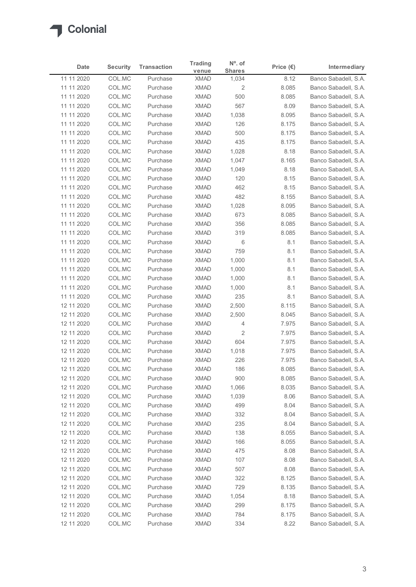

|                          |                  |                      | <b>Trading</b>             | $No$ . of     |                    |                                              |
|--------------------------|------------------|----------------------|----------------------------|---------------|--------------------|----------------------------------------------|
| <b>Date</b>              | <b>Security</b>  | <b>Transaction</b>   | venue                      | <b>Shares</b> | Price $(\epsilon)$ | Intermediary                                 |
| 11 11 2020               | COL.MC           | Purchase             | <b>XMAD</b>                | 1,034         | 8.12               | Banco Sabadell, S.A.                         |
| 11 11 2020               | COL.MC           | Purchase             | <b>XMAD</b>                | 2             | 8.085              | Banco Sabadell, S.A.<br>Banco Sabadell, S.A. |
| 11 11 2020<br>11 11 2020 | COL.MC<br>COL.MC | Purchase<br>Purchase | <b>XMAD</b><br><b>XMAD</b> | 500<br>567    | 8.085<br>8.09      | Banco Sabadell, S.A.                         |
| 11 11 2020               | COL.MC           | Purchase             | <b>XMAD</b>                | 1,038         | 8.095              | Banco Sabadell, S.A.                         |
| 11 11 2020               | COL.MC           | Purchase             | <b>XMAD</b>                | 126           | 8.175              | Banco Sabadell, S.A.                         |
| 11 11 2020               | COL.MC           | Purchase             | <b>XMAD</b>                | 500           | 8.175              | Banco Sabadell, S.A.                         |
| 11 11 2020               | COL.MC           | Purchase             | <b>XMAD</b>                | 435           | 8.175              | Banco Sabadell, S.A.                         |
| 11 11 2020               | COL.MC           | Purchase             | <b>XMAD</b>                | 1,028         | 8.18               | Banco Sabadell, S.A.                         |
| 11 11 2020               | COL.MC           | Purchase             | <b>XMAD</b>                | 1,047         | 8.165              | Banco Sabadell, S.A.                         |
| 11 11 2020               | COL.MC           | Purchase             | <b>XMAD</b>                | 1,049         | 8.18               | Banco Sabadell, S.A.                         |
| 11 11 2020               | COL.MC           | Purchase             | <b>XMAD</b>                | 120           | 8.15               | Banco Sabadell, S.A.                         |
| 11 11 2020               | COL.MC           | Purchase             | <b>XMAD</b>                | 462           | 8.15               | Banco Sabadell, S.A.                         |
| 11 11 2020<br>11 11 2020 | COL.MC<br>COL.MC | Purchase<br>Purchase | XMAD<br>XMAD               | 482<br>1,028  | 8.155<br>8.095     | Banco Sabadell, S.A.<br>Banco Sabadell, S.A. |
| 11 11 2020               | COL.MC           | Purchase             | XMAD                       | 673           | 8.085              | Banco Sabadell, S.A.                         |
| 11 11 2020               | COL.MC           | Purchase             | XMAD                       | 356           | 8.085              | Banco Sabadell, S.A.                         |
| 11 11 2020               | COL.MC           | Purchase             | <b>XMAD</b>                | 319           | 8.085              | Banco Sabadell, S.A.                         |
| 11 11 2020               | COL.MC           | Purchase             | <b>XMAD</b>                | 6             | 8.1                | Banco Sabadell, S.A.                         |
| 11 11 2020               | COL.MC           | Purchase             | <b>XMAD</b>                | 759           | 8.1                | Banco Sabadell, S.A.                         |
| 11 11 2020               | COL.MC           | Purchase             | <b>XMAD</b>                | 1,000         | 8.1                | Banco Sabadell, S.A.                         |
| 11 11 2020               | COL.MC           | Purchase             | <b>XMAD</b>                | 1,000         | 8.1                | Banco Sabadell, S.A.                         |
| 11 11 2020               | COL.MC           | Purchase             | <b>XMAD</b>                | 1,000         | 8.1                | Banco Sabadell, S.A.                         |
| 11 11 2020               | COL.MC           | Purchase             | XMAD                       | 1,000         | 8.1                | Banco Sabadell, S.A.                         |
| 11 11 2020<br>12 11 2020 | COL.MC<br>COL.MC | Purchase<br>Purchase | <b>XMAD</b><br><b>XMAD</b> | 235<br>2,500  | 8.1<br>8.115       | Banco Sabadell, S.A.<br>Banco Sabadell, S.A. |
| 12 11 2020               | COL.MC           | Purchase             | <b>XMAD</b>                | 2,500         | 8.045              | Banco Sabadell, S.A.                         |
| 12 11 2020               | COL.MC           | Purchase             | XMAD                       | 4             | 7.975              | Banco Sabadell, S.A.                         |
| 12 11 2020               | COL.MC           | Purchase             | <b>XMAD</b>                | 2             | 7.975              | Banco Sabadell, S.A.                         |
| 12 11 2020               | COL.MC           | Purchase             | <b>XMAD</b>                | 604           | 7.975              | Banco Sabadell, S.A.                         |
| 12 11 2020               | COL.MC           | Purchase             | <b>XMAD</b>                | 1,018         | 7.975              | Banco Sabadell, S.A.                         |
| 12 11 2020               | COL.MC           | Purchase             | <b>XMAD</b>                | 226           | 7.975              | Banco Sabadell, S.A.                         |
| 12 11 2020               | COL.MC           | Purchase             | <b>XMAD</b>                | 186           | 8.085              | Banco Sabadell, S.A.                         |
| 12 11 2020               | COL.MC           | Purchase             | <b>XMAD</b>                | 900           | 8.085              | Banco Sabadell, S.A.                         |
| 12 11 2020               | COL.MC           | Purchase             | XMAD                       | 1,066         | 8.035              | Banco Sabadell, S.A.                         |
| 12 11 2020               | COL.MC           | Purchase             | <b>XMAD</b>                | 1,039         | 8.06               | Banco Sabadell, S.A.                         |
| 12 11 2020               | COL.MC           | Purchase             | <b>XMAD</b>                | 499           | 8.04               | Banco Sabadell, S.A.                         |
| 12 11 2020               | COL.MC           | Purchase             | XMAD                       | 332           | 8.04               | Banco Sabadell, S.A.                         |
| 12 11 2020<br>12 11 2020 | COL.MC<br>COL.MC | Purchase<br>Purchase | XMAD<br><b>XMAD</b>        | 235<br>138    | 8.04<br>8.055      | Banco Sabadell, S.A.<br>Banco Sabadell, S.A. |
| 12 11 2020               | COL.MC           | Purchase             | <b>XMAD</b>                | 166           | 8.055              | Banco Sabadell, S.A.                         |
| 12 11 2020               | COL.MC           | Purchase             | <b>XMAD</b>                | 475           | 8.08               | Banco Sabadell, S.A.                         |
| 12 11 2020               | COL.MC           | Purchase             | <b>XMAD</b>                | 107           | 8.08               | Banco Sabadell, S.A.                         |
| 12 11 2020               | COL.MC           | Purchase             | <b>XMAD</b>                | 507           | 8.08               | Banco Sabadell, S.A.                         |
| 12 11 2020               | COL.MC           | Purchase             | XMAD                       | 322           | 8.125              | Banco Sabadell, S.A.                         |
| 12 11 2020               | COL.MC           | Purchase             | XMAD                       | 729           | 8.135              | Banco Sabadell, S.A.                         |
| 12 11 2020               | COL.MC           | Purchase             | <b>XMAD</b>                | 1,054         | 8.18               | Banco Sabadell, S.A.                         |
| 12 11 2020               | COL.MC           | Purchase             | <b>XMAD</b>                | 299           | 8.175              | Banco Sabadell, S.A.                         |
|                          | COL.MC           | Purchase             | <b>XMAD</b>                | 784           | 8.175              | Banco Sabadell, S.A.                         |
| 12 11 2020<br>12 11 2020 | COL.MC           | Purchase             | XMAD                       | 334           | 8.22               | Banco Sabadell, S.A.                         |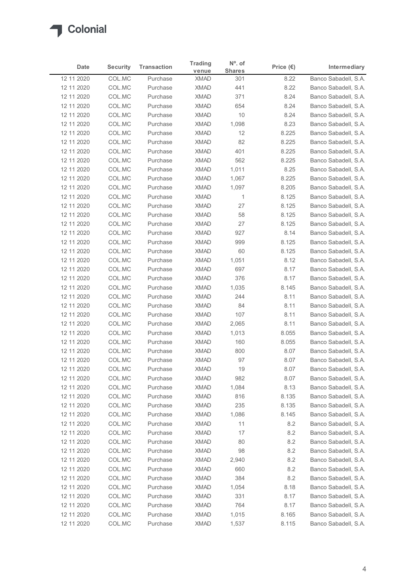| Date                     | <b>Security</b>  | <b>Transaction</b>   | <b>Trading</b>             | $N^{\circ}$ . of     | Price $(\epsilon)$ | Intermediary                                 |
|--------------------------|------------------|----------------------|----------------------------|----------------------|--------------------|----------------------------------------------|
| 12 11 2020               | COL.MC           | Purchase             | venue<br><b>XMAD</b>       | <b>Shares</b><br>301 | 8.22               | Banco Sabadell, S.A.                         |
| 12 11 2020               | COL.MC           | Purchase             | <b>XMAD</b>                | 441                  | 8.22               | Banco Sabadell, S.A.                         |
| 12 11 2020               | COL.MC           | Purchase             | <b>XMAD</b>                | 371                  | 8.24               | Banco Sabadell, S.A.                         |
| 12 11 2020               | COL.MC           | Purchase             | <b>XMAD</b>                | 654                  | 8.24               | Banco Sabadell, S.A.                         |
| 12 11 2020               | COL.MC           | Purchase             | <b>XMAD</b>                | 10                   | 8.24               | Banco Sabadell, S.A.                         |
| 12 11 2020               | COL.MC           | Purchase             | <b>XMAD</b>                | 1,098                | 8.23               | Banco Sabadell, S.A.                         |
| 12 11 2020<br>12 11 2020 | COL.MC<br>COL.MC | Purchase<br>Purchase | <b>XMAD</b><br><b>XMAD</b> | 12<br>82             | 8.225<br>8.225     | Banco Sabadell, S.A.<br>Banco Sabadell, S.A. |
| 12 11 2020               | COL.MC           | Purchase             | <b>XMAD</b>                | 401                  | 8.225              | Banco Sabadell, S.A.                         |
| 12 11 2020               | COL.MC           | Purchase             | <b>XMAD</b>                | 562                  | 8.225              | Banco Sabadell, S.A.                         |
| 12 11 2020               | COL.MC           | Purchase             | <b>XMAD</b>                | 1,011                | 8.25               | Banco Sabadell, S.A.                         |
| 12 11 2020               | COL.MC           | Purchase             | <b>XMAD</b>                | 1,067                | 8.225              | Banco Sabadell, S.A.                         |
| 12 11 2020               | COL.MC           | Purchase             | <b>XMAD</b>                | 1,097                | 8.205              | Banco Sabadell, S.A.                         |
| 12 11 2020               | COL.MC           | Purchase             | XMAD                       | $\overline{1}$       | 8.125              | Banco Sabadell, S.A.                         |
| 12 11 2020               | COL.MC           | Purchase             | XMAD                       | 27                   | 8.125              | Banco Sabadell, S.A.                         |
| 12 11 2020<br>12 11 2020 | COL.MC<br>COL.MC | Purchase<br>Purchase | XMAD<br><b>XMAD</b>        | 58<br>27             | 8.125<br>8.125     | Banco Sabadell, S.A.<br>Banco Sabadell, S.A. |
| 12 11 2020               | COL.MC           | Purchase             | XMAD                       | 927                  | 8.14               | Banco Sabadell, S.A.                         |
| 12 11 2020               | COL.MC           | Purchase             | <b>XMAD</b>                | 999                  | 8.125              | Banco Sabadell, S.A.                         |
| 12 11 2020               | COL.MC           | Purchase             | <b>XMAD</b>                | 60                   | 8.125              | Banco Sabadell, S.A.                         |
| 12 11 2020               | COL.MC           | Purchase             | <b>XMAD</b>                | 1,051                | 8.12               | Banco Sabadell, S.A.                         |
| 12 11 2020               | COL.MC           | Purchase             | <b>XMAD</b>                | 697                  | 8.17               | Banco Sabadell, S.A.                         |
| 12 11 2020               | COL.MC           | Purchase             | XMAD                       | 376                  | 8.17               | Banco Sabadell, S.A.                         |
| 12 11 2020               | COL.MC           | Purchase             | <b>XMAD</b>                | 1,035                | 8.145              | Banco Sabadell, S.A.                         |
| 12 11 2020               | COL.MC           | Purchase             | <b>XMAD</b>                | 244                  | 8.11               | Banco Sabadell, S.A.                         |
| 12 11 2020<br>12 11 2020 | COL.MC<br>COL.MC | Purchase<br>Purchase | <b>XMAD</b><br><b>XMAD</b> | 84<br>107            | 8.11<br>8.11       | Banco Sabadell, S.A.<br>Banco Sabadell, S.A. |
| 12 11 2020               | COL.MC           | Purchase             | <b>XMAD</b>                | 2,065                | 8.11               | Banco Sabadell, S.A.                         |
| 12 11 2020               | COL.MC           | Purchase             | <b>XMAD</b>                | 1,013                | 8.055              | Banco Sabadell, S.A.                         |
| 12 11 2020               | COL.MC           | Purchase             | <b>XMAD</b>                | 160                  | 8.055              | Banco Sabadell, S.A.                         |
| 12 11 2020               | COL.MC           | Purchase             | <b>XMAD</b>                | 800                  | 8.07               | Banco Sabadell, S.A.                         |
| 12 11 2020               | COL.MC           | Purchase             | <b>XMAD</b>                | 97                   | 8.07               | Banco Sabadell, S.A.                         |
| 12 11 2020               | COL.MC           | Purchase             | <b>XMAD</b>                | 19                   | 8.07               | Banco Sabadell, S.A.                         |
| 12 11 2020               | COL.MC           | Purchase             | <b>XMAD</b>                | 982                  | 8.07               | Banco Sabadell, S.A.                         |
| 12 11 2020               | COL.MC           | Purchase             | XMAD                       | 1,084                | 8.13               | Banco Sabadell, S.A.                         |
| 12 11 2020<br>12 11 2020 | COL.MC<br>COL.MC | Purchase<br>Purchase | <b>XMAD</b><br><b>XMAD</b> | 816<br>235           | 8.135<br>8.135     | Banco Sabadell, S.A.<br>Banco Sabadell, S.A. |
| 12 11 2020               | COL.MC           | Purchase             | <b>XMAD</b>                | 1,086                | 8.145              | Banco Sabadell, S.A.                         |
| 12 11 2020               | COL.MC           | Purchase             | <b>XMAD</b>                | 11                   | 8.2                | Banco Sabadell, S.A.                         |
| 12 11 2020               | COL.MC           | Purchase             | <b>XMAD</b>                | 17                   | 8.2                | Banco Sabadell, S.A.                         |
| 12 11 2020               | COL.MC           | Purchase             | <b>XMAD</b>                | 80                   | 8.2                | Banco Sabadell, S.A.                         |
| 12 11 2020               | COL.MC           | Purchase             | <b>XMAD</b>                | 98                   | 8.2                | Banco Sabadell, S.A.                         |
| 12 11 2020               | COL.MC           | Purchase             | <b>XMAD</b>                | 2,940                | 8.2                | Banco Sabadell, S.A.                         |
| 12 11 2020               | COL.MC           | Purchase             | <b>XMAD</b>                | 660                  | 8.2                | Banco Sabadell, S.A.                         |
| 12 11 2020               | COL.MC           | Purchase             | <b>XMAD</b>                | 384                  | 8.2                | Banco Sabadell, S.A.                         |
| 12 11 2020               | COL.MC           | Purchase<br>Purchase | XMAD<br><b>XMAD</b>        | 1,054<br>331         | 8.18<br>8.17       | Banco Sabadell, S.A.<br>Banco Sabadell, S.A. |
| 12 11 2020<br>12 11 2020 | COL.MC<br>COL.MC | Purchase             | <b>XMAD</b>                | 764                  | 8.17               | Banco Sabadell, S.A.                         |
|                          | COL.MC           | Purchase             | <b>XMAD</b>                | 1,015                | 8.165              | Banco Sabadell, S.A.                         |
| 12 11 2020               |                  |                      |                            |                      |                    |                                              |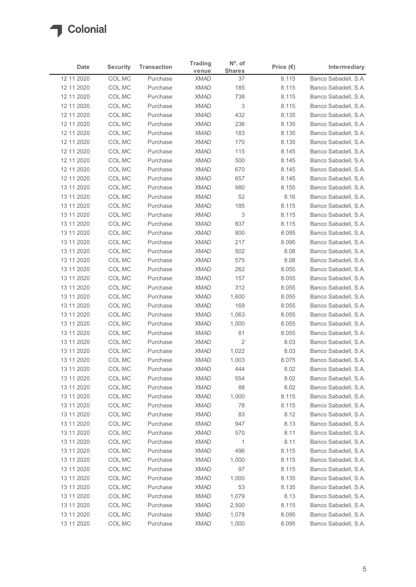| Date                     | <b>Security</b>  | <b>Transaction</b>   | <b>Trading</b>             | $N^{\circ}$ . of | Price $(\epsilon)$ | Intermediary                                 |
|--------------------------|------------------|----------------------|----------------------------|------------------|--------------------|----------------------------------------------|
|                          |                  | Purchase             | venue                      | <b>Shares</b>    |                    | Banco Sabadell, S.A.                         |
| 12 11 2020<br>12 11 2020 | COL.MC<br>COL.MC | Purchase             | <b>XMAD</b><br><b>XMAD</b> | 37<br>185        | 8.115<br>8.115     | Banco Sabadell, S.A.                         |
| 12 11 2020               | COL.MC           | Purchase             | <b>XMAD</b>                | 738              | 8.115              | Banco Sabadell, S.A.                         |
| 12 11 2020               | COL.MC           | Purchase             | <b>XMAD</b>                | 3                | 8.115              | Banco Sabadell, S.A.                         |
| 12 11 2020               | COL.MC           | Purchase             | <b>XMAD</b>                | 432              | 8.135              | Banco Sabadell, S.A.                         |
| 12 11 2020               | COL.MC           | Purchase             | <b>XMAD</b>                | 236              | 8.135              | Banco Sabadell, S.A.                         |
| 12 11 2020               | COL.MC           | Purchase             | <b>XMAD</b>                | 183              | 8.135              | Banco Sabadell, S.A.                         |
| 12 11 2020<br>12 11 2020 | COL.MC<br>COL.MC | Purchase<br>Purchase | <b>XMAD</b><br><b>XMAD</b> | 170<br>115       | 8.135<br>8.145     | Banco Sabadell, S.A.<br>Banco Sabadell, S.A. |
| 12 11 2020               | COL.MC           | Purchase             | <b>XMAD</b>                | 500              | 8.145              | Banco Sabadell, S.A.                         |
| 12 11 2020               | COL.MC           | Purchase             | <b>XMAD</b>                | 670              | 8.145              | Banco Sabadell, S.A.                         |
| 12 11 2020               | COL.MC           | Purchase             | <b>XMAD</b>                | 657              | 8.145              | Banco Sabadell, S.A.                         |
| 13 11 2020               | COL.MC           | Purchase             | <b>XMAD</b>                | 980              | 8.155              | Banco Sabadell, S.A.                         |
| 13 11 2020               | COL.MC           | Purchase             | XMAD                       | 52               | 8.16               | Banco Sabadell, S.A.                         |
| 13 11 2020               | COL.MC           | Purchase             | <b>XMAD</b>                | 185              | 8.115              | Banco Sabadell, S.A.                         |
| 13 11 2020               | COL.MC           | Purchase             | <b>XMAD</b>                | 3                | 8.115              | Banco Sabadell, S.A.                         |
| 13 11 2020<br>13 11 2020 | COL.MC<br>COL.MC | Purchase<br>Purchase | XMAD<br>XMAD               | 837<br>800       | 8.115<br>8.095     | Banco Sabadell, S.A.<br>Banco Sabadell, S.A. |
| 13 11 2020               | COL.MC           | Purchase             | <b>XMAD</b>                | 217              | 8.095              | Banco Sabadell, S.A.                         |
| 13 11 2020               | COL.MC           | Purchase             | <b>XMAD</b>                | 502              | 8.08               | Banco Sabadell, S.A.                         |
| 13 11 2020               | COL.MC           | Purchase             | <b>XMAD</b>                | 575              | 8.08               | Banco Sabadell, S.A.                         |
| 13 11 2020               | COL.MC           | Purchase             | XMAD                       | 262              | 8.055              | Banco Sabadell, S.A.                         |
| 13 11 2020               | COL.MC           | Purchase             | <b>XMAD</b>                | 157              | 8.055              | Banco Sabadell, S.A.                         |
| 13 11 2020               | COL.MC           | Purchase             | <b>XMAD</b>                | 312              | 8.055              | Banco Sabadell, S.A.                         |
| 13 11 2020               | COL.MC           | Purchase             | XMAD                       | 1,600            | 8.055              | Banco Sabadell, S.A.                         |
| 13 11 2020               | COL.MC           | Purchase             | <b>XMAD</b>                | 169              | 8.055              | Banco Sabadell, S.A.                         |
| 13 11 2020<br>13 11 2020 | COL.MC<br>COL.MC | Purchase<br>Purchase | <b>XMAD</b><br><b>XMAD</b> | 1,063<br>1,000   | 8.055<br>8.055     | Banco Sabadell, S.A.<br>Banco Sabadell, S.A. |
| 13 11 2020               | COL.MC           | Purchase             | <b>XMAD</b>                | 81               | 8.055              | Banco Sabadell, S.A.                         |
| 13 11 2020               | COL.MC           | Purchase             | <b>XMAD</b>                | $\overline{2}$   | 8.03               | Banco Sabadell, S.A.                         |
| 13 11 2020               | COL.MC           | Purchase             | <b>XMAD</b>                | 1,022            | 8.03               | Banco Sabadell, S.A.                         |
| 13 11 2020               | COL.MC           | Purchase             | <b>XMAD</b>                | 1,003            | 8.075              | Banco Sabadell, S.A.                         |
| 13 11 2020               | COL.MC           | Purchase             | <b>XMAD</b>                | 444              | 8.02               | Banco Sabadell, S.A.                         |
| 13 11 2020               | COL.MC           | Purchase             | <b>XMAD</b>                | 554              | 8.02               | Banco Sabadell, S.A.                         |
| 13 11 2020               | COL.MC           | Purchase             | <b>XMAD</b>                | 88               | 8.02               | Banco Sabadell, S.A.                         |
| 13 11 2020               | COL.MC           | Purchase             | <b>XMAD</b>                | 1,000            | 8.115              | Banco Sabadell, S.A.                         |
| 13 11 2020<br>13 11 2020 | COL.MC<br>COL.MC | Purchase<br>Purchase | <b>XMAD</b><br><b>XMAD</b> | 78<br>83         | 8.115<br>8.12      | Banco Sabadell, S.A.<br>Banco Sabadell, S.A. |
| 13 11 2020               | COL.MC           | Purchase             | XMAD                       | 947              | 8.13               | Banco Sabadell, S.A.                         |
| 13 11 2020               | COL.MC           | Purchase             | <b>XMAD</b>                | 570              | 8.11               | Banco Sabadell, S.A.                         |
| 13 11 2020               | COL.MC           | Purchase             | <b>XMAD</b>                | $\overline{1}$   | 8.11               | Banco Sabadell, S.A.                         |
| 13 11 2020               | COL.MC           | Purchase             | <b>XMAD</b>                | 496              | 8.115              | Banco Sabadell, S.A.                         |
| 13 11 2020               | COL.MC           | Purchase             | <b>XMAD</b>                | 1,000            | 8.115              | Banco Sabadell, S.A.                         |
| 13 11 2020               | COL.MC           | Purchase             | <b>XMAD</b>                | 97               | 8.115              | Banco Sabadell, S.A.                         |
| 13 11 2020               | COL.MC           | Purchase             | <b>XMAD</b>                | 1,000            | 8.135              | Banco Sabadell, S.A.                         |
| 13 11 2020               | COL.MC           | Purchase             | <b>XMAD</b>                | 53               | 8.135              | Banco Sabadell, S.A.                         |
| 13 11 2020<br>13 11 2020 | COL.MC<br>COL.MC | Purchase<br>Purchase | <b>XMAD</b><br><b>XMAD</b> | 1,079<br>2,500   | 8.13<br>8.115      | Banco Sabadell, S.A.<br>Banco Sabadell, S.A. |
|                          | COL.MC           | Purchase             | <b>XMAD</b>                | 1,078            | 8.095              | Banco Sabadell, S.A.                         |
| 13 11 2020               |                  |                      |                            | 1,000            | 8.095              | Banco Sabadell, S.A.                         |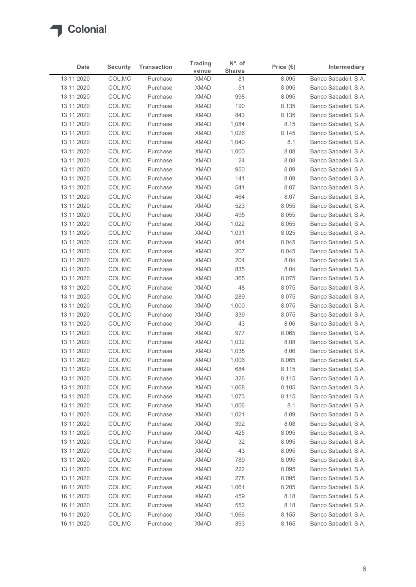| Date                     | <b>Security</b>  | <b>Transaction</b>   | <b>Trading</b>             | $N^{\circ}$ . of    | Price $(\epsilon)$ | Intermediary                                 |
|--------------------------|------------------|----------------------|----------------------------|---------------------|--------------------|----------------------------------------------|
| 13 11 2020               | COL.MC           | Purchase             | venue<br><b>XMAD</b>       | <b>Shares</b><br>81 | 8.095              | Banco Sabadell, S.A.                         |
| 13 11 2020               | COL.MC           | Purchase             | <b>XMAD</b>                | 51                  | 8.095              | Banco Sabadell, S.A.                         |
| 13 11 2020               | COL.MC           | Purchase             | <b>XMAD</b>                | 998                 | 8.095              | Banco Sabadell, S.A.                         |
| 13 11 2020               | COL.MC           | Purchase             | <b>XMAD</b>                | 190                 | 8.135              | Banco Sabadell, S.A.                         |
| 13 11 2020               | COL.MC           | Purchase             | <b>XMAD</b>                | 843                 | 8.135              | Banco Sabadell, S.A.                         |
| 13 11 2020<br>13 11 2020 | COL.MC<br>COL.MC | Purchase<br>Purchase | <b>XMAD</b><br><b>XMAD</b> | 1,084<br>1,026      | 8.15<br>8.145      | Banco Sabadell, S.A.<br>Banco Sabadell, S.A. |
| 13 11 2020               | COL.MC           | Purchase             | <b>XMAD</b>                | 1,040               | 8.1                | Banco Sabadell, S.A.                         |
| 13 11 2020               | COL.MC           | Purchase             | <b>XMAD</b>                | 1,000               | 8.08               | Banco Sabadell, S.A.                         |
| 13 11 2020               | COL.MC           | Purchase             | <b>XMAD</b>                | 24                  | 8.08               | Banco Sabadell, S.A.                         |
| 13 11 2020               | COL.MC           | Purchase             | <b>XMAD</b>                | 950                 | 8.09               | Banco Sabadell, S.A.                         |
| 13 11 2020               | COL.MC<br>COL.MC | Purchase<br>Purchase | <b>XMAD</b><br><b>XMAD</b> | 141<br>541          | 8.09<br>8.07       | Banco Sabadell, S.A.                         |
| 13 11 2020<br>13 11 2020 | COL.MC           | Purchase             | XMAD                       | 464                 | 8.07               | Banco Sabadell, S.A.<br>Banco Sabadell, S.A. |
| 13 11 2020               | COL.MC           | Purchase             | XMAD                       | 523                 | 8.055              | Banco Sabadell, S.A.                         |
| 13 11 2020               | COL.MC           | Purchase             | XMAD                       | 495                 | 8.055              | Banco Sabadell, S.A.                         |
| 13 11 2020               | COL.MC           | Purchase             | <b>XMAD</b>                | 1,022               | 8.055              | Banco Sabadell, S.A.                         |
| 13 11 2020               | COL.MC           | Purchase             | <b>XMAD</b>                | 1,031               | 8.025              | Banco Sabadell, S.A.                         |
| 13 11 2020               | COL.MC           | Purchase             | <b>XMAD</b>                | 864                 | 8.045              | Banco Sabadell, S.A.<br>Banco Sabadell, S.A. |
| 13 11 2020<br>13 11 2020 | COL.MC<br>COL.MC | Purchase<br>Purchase | <b>XMAD</b><br><b>XMAD</b> | 207<br>204          | 8.045<br>8.04      | Banco Sabadell, S.A.                         |
| 13 11 2020               | COL.MC           | Purchase             | XMAD                       | 835                 | 8.04               | Banco Sabadell, S.A.                         |
| 13 11 2020               | COL.MC           | Purchase             | <b>XMAD</b>                | 365                 | 8.075              | Banco Sabadell, S.A.                         |
| 13 11 2020               | COL.MC           | Purchase             | <b>XMAD</b>                | 48                  | 8.075              | Banco Sabadell, S.A.                         |
| 13 11 2020               | COL.MC           | Purchase             | <b>XMAD</b>                | 289                 | 8.075              | Banco Sabadell, S.A.                         |
| 13 11 2020               | COL.MC           | Purchase             | <b>XMAD</b><br><b>XMAD</b> | 1,000<br>339        | 8.075              | Banco Sabadell, S.A.                         |
| 13 11 2020<br>13 11 2020 | COL.MC<br>COL.MC | Purchase<br>Purchase | <b>XMAD</b>                | 43                  | 8.075<br>8.06      | Banco Sabadell, S.A.<br>Banco Sabadell, S.A. |
| 13 11 2020               | COL.MC           | Purchase             | XMAD                       | 977                 | 8.065              | Banco Sabadell, S.A.                         |
| 13 11 2020               | COL.MC           | Purchase             | <b>XMAD</b>                | 1,032               | 8.08               | Banco Sabadell, S.A.                         |
| 13 11 2020               | COL.MC           | Purchase             | <b>XMAD</b>                | 1,038               | 8.06               | Banco Sabadell, S.A.                         |
| 13 11 2020               | COL.MC           | Purchase             | <b>XMAD</b>                | 1,006               | 8.065              | Banco Sabadell, S.A.                         |
| 13 11 2020               | COL.MC           | Purchase             | <b>XMAD</b>                | 684                 | 8.115              | Banco Sabadell, S.A.                         |
| 13 11 2020               | COL.MC           | Purchase             | <b>XMAD</b>                | 326                 | 8.115              | Banco Sabadell, S.A.                         |
| 13 11 2020<br>13 11 2020 | COL.MC<br>COL.MC | Purchase<br>Purchase | XMAD<br><b>XMAD</b>        | 1,068<br>1,073      | 8.105<br>8.115     | Banco Sabadell, S.A.<br>Banco Sabadell, S.A. |
| 13 11 2020               | COL.MC           | Purchase             | <b>XMAD</b>                | 1,006               | 8.1                | Banco Sabadell, S.A.                         |
| 13 11 2020               | COL.MC           | Purchase             | <b>XMAD</b>                | 1,021               | 8.09               | Banco Sabadell, S.A.                         |
| 13 11 2020               | COL.MC           | Purchase             | XMAD                       | 392                 | 8.08               | Banco Sabadell, S.A.                         |
| 13 11 2020               | COL.MC           | Purchase             | <b>XMAD</b>                | 425                 | 8.095              | Banco Sabadell, S.A.                         |
| 13 11 2020               | COL.MC           | Purchase             | <b>XMAD</b>                | 32                  | 8.095              | Banco Sabadell, S.A.                         |
| 13 11 2020               | COL.MC           | Purchase             | <b>XMAD</b>                | 43                  | 8.095              | Banco Sabadell, S.A.                         |
| 13 11 2020               | COL.MC           | Purchase             | <b>XMAD</b><br><b>XMAD</b> | 789<br>222          | 8.095              | Banco Sabadell, S.A.<br>Banco Sabadell, S.A. |
| 13 11 2020<br>13 11 2020 | COL.MC<br>COL.MC | Purchase<br>Purchase | XMAD                       | 278                 | 8.095<br>8.095     | Banco Sabadell, S.A.                         |
| 16 11 2020               | COL.MC           | Purchase             | XMAD                       | 1,061               | 8.205              | Banco Sabadell, S.A.                         |
| 16 11 2020               | COL.MC           | Purchase             | <b>XMAD</b>                | 459                 | 8.18               | Banco Sabadell, S.A.                         |
| 16 11 2020               | COL.MC           | Purchase             | <b>XMAD</b>                | 552                 | 8.18               | Banco Sabadell, S.A.                         |
| 16 11 2020               | COL.MC           | Purchase             | <b>XMAD</b>                | 1,066               | 8.155              | Banco Sabadell, S.A.                         |
| 16 11 2020               | COL.MC           | Purchase             | <b>XMAD</b>                | 393                 | 8.165              | Banco Sabadell, S.A.                         |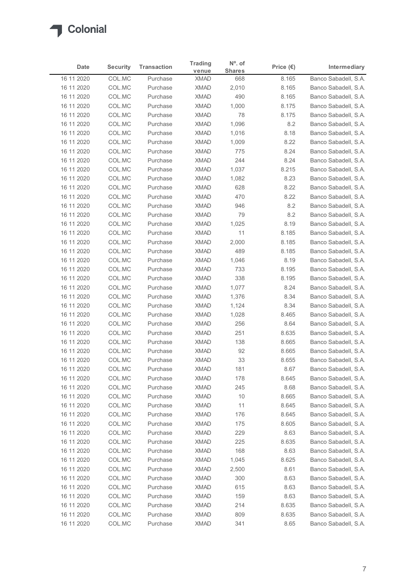| Date                     | <b>Security</b>  | <b>Transaction</b>   | <b>Trading</b>             | $N^{\circ}$ . of     | Price $(\epsilon)$ | Intermediary                                 |
|--------------------------|------------------|----------------------|----------------------------|----------------------|--------------------|----------------------------------------------|
| 16 11 2020               | COL.MC           | Purchase             | venue<br><b>XMAD</b>       | <b>Shares</b><br>668 | 8.165              | Banco Sabadell, S.A.                         |
| 16 11 2020               | COL.MC           | Purchase             | <b>XMAD</b>                | 2,010                | 8.165              | Banco Sabadell, S.A.                         |
| 16 11 2020               | COL.MC           | Purchase             | <b>XMAD</b>                | 490                  | 8.165              | Banco Sabadell, S.A.                         |
| 16 11 2020               | COL.MC           | Purchase             | <b>XMAD</b>                | 1,000                | 8.175              | Banco Sabadell, S.A.                         |
| 16 11 2020               | COL.MC           | Purchase             | <b>XMAD</b>                | 78                   | 8.175              | Banco Sabadell, S.A.                         |
| 16 11 2020               | COL.MC           | Purchase             | <b>XMAD</b>                | 1,096                | 8.2                | Banco Sabadell, S.A.                         |
| 16 11 2020               | COL.MC           | Purchase             | <b>XMAD</b>                | 1,016                | 8.18               | Banco Sabadell, S.A.                         |
| 16 11 2020<br>16 11 2020 | COL.MC<br>COL.MC | Purchase<br>Purchase | <b>XMAD</b><br><b>XMAD</b> | 1,009<br>775         | 8.22<br>8.24       | Banco Sabadell, S.A.<br>Banco Sabadell, S.A. |
| 16 11 2020               | COL.MC           | Purchase             | <b>XMAD</b>                | 244                  | 8.24               | Banco Sabadell, S.A.                         |
| 16 11 2020               | COL.MC           | Purchase             | <b>XMAD</b>                | 1,037                | 8.215              | Banco Sabadell, S.A.                         |
| 16 11 2020               | COL.MC           | Purchase             | <b>XMAD</b>                | 1,082                | 8.23               | Banco Sabadell, S.A.                         |
| 16 11 2020               | COL.MC           | Purchase             | <b>XMAD</b>                | 628                  | 8.22               | Banco Sabadell, S.A.                         |
| 16 11 2020               | COL.MC           | Purchase             | XMAD                       | 470                  | 8.22               | Banco Sabadell, S.A.                         |
| 16 11 2020               | COL.MC           | Purchase             | <b>XMAD</b>                | 946                  | 8.2                | Banco Sabadell, S.A.                         |
| 16 11 2020<br>16 11 2020 | COL.MC<br>COL.MC | Purchase<br>Purchase | XMAD<br><b>XMAD</b>        | 79<br>1,025          | 8.2<br>8.19        | Banco Sabadell, S.A.<br>Banco Sabadell, S.A. |
| 16 11 2020               | COL.MC           | Purchase             | <b>XMAD</b>                | 11                   | 8.185              | Banco Sabadell, S.A.                         |
| 16 11 2020               | COL.MC           | Purchase             | <b>XMAD</b>                | 2,000                | 8.185              | Banco Sabadell, S.A.                         |
| 16 11 2020               | COL.MC           | Purchase             | <b>XMAD</b>                | 489                  | 8.185              | Banco Sabadell, S.A.                         |
| 16 11 2020               | COL.MC           | Purchase             | <b>XMAD</b>                | 1,046                | 8.19               | Banco Sabadell, S.A.                         |
| 16 11 2020               | COL.MC           | Purchase             | <b>XMAD</b>                | 733                  | 8.195              | Banco Sabadell, S.A.                         |
| 16 11 2020               | COL.MC           | Purchase             | XMAD                       | 338                  | 8.195              | Banco Sabadell, S.A.                         |
| 16 11 2020               | COL.MC           | Purchase             | <b>XMAD</b>                | 1,077                | 8.24               | Banco Sabadell, S.A.                         |
| 16 11 2020<br>16 11 2020 | COL.MC<br>COL.MC | Purchase<br>Purchase | <b>XMAD</b><br><b>XMAD</b> | 1,376<br>1,124       | 8.34<br>8.34       | Banco Sabadell, S.A.<br>Banco Sabadell, S.A. |
| 16 11 2020               | COL.MC           | Purchase             | XMAD                       | 1,028                | 8.465              | Banco Sabadell, S.A.                         |
| 16 11 2020               | COL.MC           | Purchase             | <b>XMAD</b>                | 256                  | 8.64               | Banco Sabadell, S.A.                         |
| 16 11 2020               | COL.MC           | Purchase             | XMAD                       | 251                  | 8.635              | Banco Sabadell, S.A.                         |
| 16 11 2020               | COL.MC           | Purchase             | <b>XMAD</b>                | 138                  | 8.665              | Banco Sabadell, S.A.                         |
| 16 11 2020               | COL.MC           | Purchase             | <b>XMAD</b>                | 92                   | 8.665              | Banco Sabadell, S.A.                         |
| 16 11 2020               | COL.MC           | Purchase             | <b>XMAD</b>                | 33                   | 8.655              | Banco Sabadell, S.A.                         |
| 16 11 2020               | COL.MC           | Purchase             | <b>XMAD</b>                | 181                  | 8.67               | Banco Sabadell, S.A.                         |
| 16 11 2020               | COL.MC<br>COL.MC | Purchase<br>Purchase | <b>XMAD</b><br>XMAD        | 178<br>245           | 8.645<br>8.68      | Banco Sabadell, S.A.<br>Banco Sabadell, S.A. |
| 16 11 2020<br>16 11 2020 | COL.MC           | Purchase             | <b>XMAD</b>                | 10                   | 8.665              | Banco Sabadell, S.A.                         |
| 16 11 2020               | COL.MC           | Purchase             | <b>XMAD</b>                | 11                   | 8.645              | Banco Sabadell, S.A.                         |
| 16 11 2020               | COL.MC           | Purchase             | <b>XMAD</b>                | 176                  | 8.645              | Banco Sabadell, S.A.                         |
| 16 11 2020               | COL.MC           | Purchase             | XMAD                       | 175                  | 8.605              | Banco Sabadell, S.A.                         |
| 16 11 2020               | COL.MC           | Purchase             | <b>XMAD</b>                | 229                  | 8.63               | Banco Sabadell, S.A.                         |
| 16 11 2020               | COL.MC           | Purchase             | <b>XMAD</b>                | 225                  | 8.635              | Banco Sabadell, S.A.                         |
| 16 11 2020               | COL.MC           | Purchase             | <b>XMAD</b>                | 168                  | 8.63               | Banco Sabadell, S.A.                         |
| 16 11 2020               | COL.MC           | Purchase             | <b>XMAD</b>                | 1,045                | 8.625              | Banco Sabadell, S.A.                         |
| 16 11 2020<br>16 11 2020 | COL.MC<br>COL.MC | Purchase<br>Purchase | <b>XMAD</b><br>XMAD        | 2,500<br>300         | 8.61               | Banco Sabadell, S.A.                         |
| 16 11 2020               | COL.MC           | Purchase             | XMAD                       | 615                  | 8.63<br>8.63       | Banco Sabadell, S.A.<br>Banco Sabadell, S.A. |
| 16 11 2020               | COL.MC           | Purchase             | <b>XMAD</b>                | 159                  | 8.63               | Banco Sabadell, S.A.                         |
| 16 11 2020               | COL.MC           | Purchase             | <b>XMAD</b>                | 214                  | 8.635              | Banco Sabadell, S.A.                         |
| 16 11 2020               | COL.MC           | Purchase             | <b>XMAD</b>                | 809                  | 8.635              | Banco Sabadell, S.A.                         |
|                          | COL.MC           | Purchase             | <b>XMAD</b>                | 341                  | 8.65               | Banco Sabadell, S.A.                         |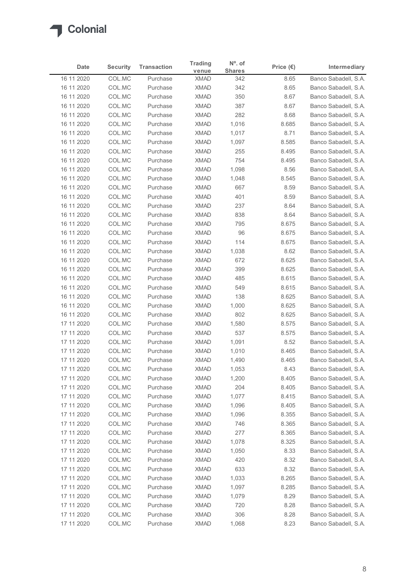| <b>Security</b><br><b>Transaction</b><br>Intermediary<br>Date<br>Price $(\epsilon)$<br><b>Shares</b><br>venue<br>Banco Sabadell, S.A.<br>16 11 2020<br>COL.MC<br><b>XMAD</b><br>Purchase<br>342<br>8.65<br>COL.MC<br>342<br>Banco Sabadell, S.A.<br>16 11 2020<br>Purchase<br><b>XMAD</b><br>8.65<br>COL.MC<br><b>XMAD</b><br>350<br>Banco Sabadell, S.A.<br>16 11 2020<br>Purchase<br>8.67<br><b>XMAD</b><br>387<br>16 11 2020<br>COL.MC<br>Purchase<br>8.67<br>Banco Sabadell, S.A.<br>COL.MC<br><b>XMAD</b><br>282<br>16 11 2020<br>Purchase<br>8.68<br>Banco Sabadell, S.A.<br>COL.MC<br><b>XMAD</b><br>Banco Sabadell, S.A.<br>16 11 2020<br>Purchase<br>1,016<br>8.685<br>COL.MC<br><b>XMAD</b><br>Banco Sabadell, S.A.<br>16 11 2020<br>Purchase<br>1,017<br>8.71<br>16 11 2020<br>COL.MC<br><b>XMAD</b><br>1,097<br>8.585<br>Banco Sabadell, S.A.<br>Purchase<br>COL.MC<br>255<br>16 11 2020<br><b>XMAD</b><br>8.495<br>Banco Sabadell, S.A.<br>Purchase<br>COL.MC<br><b>XMAD</b><br>754<br>16 11 2020<br>Purchase<br>8.495<br>Banco Sabadell, S.A.<br>COL.MC<br><b>XMAD</b><br>16 11 2020<br>Purchase<br>1,098<br>8.56<br>Banco Sabadell, S.A.<br>COL.MC<br><b>XMAD</b><br>Banco Sabadell, S.A.<br>16 11 2020<br>Purchase<br>1,048<br>8.545<br><b>XMAD</b><br>16 11 2020<br>COL.MC<br>Purchase<br>667<br>8.59<br>Banco Sabadell, S.A.<br>16 11 2020<br>COL.MC<br>XMAD<br>401<br>8.59<br>Banco Sabadell, S.A.<br>Purchase<br>16 11 2020<br>Banco Sabadell, S.A.<br>COL.MC<br>Purchase<br>XMAD<br>237<br>8.64<br>XMAD<br>8.64<br>16 11 2020<br>COL.MC<br>Purchase<br>838<br>Banco Sabadell, S.A.<br><b>XMAD</b><br>8.675<br>16 11 2020<br>COL.MC<br>Purchase<br>795<br>Banco Sabadell, S.A.<br>COL.MC<br><b>XMAD</b><br>96<br>8.675<br>16 11 2020<br>Purchase<br>Banco Sabadell, S.A.<br><b>XMAD</b><br>16 11 2020<br>COL.MC<br>Purchase<br>114<br>8.675<br>16 11 2020<br>COL.MC<br>Purchase<br><b>XMAD</b><br>1,038<br>8.62<br>Banco Sabadell, S.A.<br>8.625<br>16 11 2020<br>COL.MC<br><b>XMAD</b><br>672<br>Banco Sabadell, S.A.<br>Purchase<br>16 11 2020<br>COL.MC<br>XMAD<br>399<br>8.625<br>Banco Sabadell, S.A.<br>Purchase<br>16 11 2020<br>COL.MC<br>Purchase<br>XMAD<br>485<br>8.615<br>Banco Sabadell, S.A.<br>16 11 2020<br>COL.MC<br>Purchase<br><b>XMAD</b><br>549<br>8.615<br>Banco Sabadell, S.A.<br><b>XMAD</b><br>16 11 2020<br>COL.MC<br>Purchase<br>138<br>8.625<br>Banco Sabadell, S.A.<br>COL.MC<br>8.625<br>16 11 2020<br>Purchase<br><b>XMAD</b><br>1,000<br>Banco Sabadell, S.A.<br><b>XMAD</b><br>16 11 2020<br>COL.MC<br>802<br>8.625<br>Banco Sabadell, S.A.<br>Purchase<br><b>XMAD</b><br>8.575<br>17 11 2020<br>COL.MC<br>1,580<br>Purchase<br>COL.MC<br><b>XMAD</b><br>8.575<br>17 11 2020<br>Purchase<br>537<br>Banco Sabadell, S.A.<br>COL.MC<br><b>XMAD</b><br>17 11 2020<br>Purchase<br>1,091<br>8.52<br>Banco Sabadell, S.A.<br><b>XMAD</b><br>17 11 2020<br>COL.MC<br>Purchase<br>1,010<br>8.465<br>Banco Sabadell, S.A.<br>17 11 2020<br>COL.MC<br>Purchase<br><b>XMAD</b><br>1,490<br>8.465<br>Banco Sabadell, S.A.<br><b>XMAD</b><br>17 11 2020<br>COL.MC<br>Purchase<br>1,053<br>8.43<br>Banco Sabadell, S.A.<br><b>XMAD</b><br>8.405<br>17 11 2020<br>COL.MC<br>Purchase<br>1,200<br>Banco Sabadell, S.A.<br>XMAD<br>17 11 2020<br>COL.MC<br>Purchase<br>204<br>8.405<br>Banco Sabadell, S.A.<br>17 11 2020<br>COL.MC<br>Purchase<br><b>XMAD</b><br>1,077<br>8.415<br>Banco Sabadell, S.A.<br>17 11 2020<br>COL.MC<br>Purchase<br><b>XMAD</b><br>1,096<br>8.405<br>Banco Sabadell, S.A.<br>COL.MC<br>8.355<br>17 11 2020<br><b>XMAD</b><br>1,096<br>Banco Sabadell, S.A.<br>Purchase<br>XMAD<br>8.365<br>17 11 2020<br>COL.MC<br>Purchase<br>746<br>Banco Sabadell, S.A.<br><b>XMAD</b><br>277<br>8.365<br>17 11 2020<br>COL.MC<br>Purchase<br>Banco Sabadell, S.A.<br>COL.MC<br><b>XMAD</b><br>1,078<br>8.325<br>Banco Sabadell, S.A.<br>17 11 2020<br>Purchase<br><b>XMAD</b><br>17 11 2020<br>COL.MC<br>Purchase<br>1,050<br>8.33<br>Banco Sabadell, S.A.<br>17 11 2020<br>COL.MC<br>Purchase<br><b>XMAD</b><br>420<br>8.32<br>Banco Sabadell, S.A.<br>633<br>8.32<br>17 11 2020<br>COL.MC<br><b>XMAD</b><br>Banco Sabadell, S.A.<br>Purchase<br>XMAD<br>8.265<br>17 11 2020<br>COL.MC<br>Purchase<br>1,033<br>Banco Sabadell, S.A. |
|------------------------------------------------------------------------------------------------------------------------------------------------------------------------------------------------------------------------------------------------------------------------------------------------------------------------------------------------------------------------------------------------------------------------------------------------------------------------------------------------------------------------------------------------------------------------------------------------------------------------------------------------------------------------------------------------------------------------------------------------------------------------------------------------------------------------------------------------------------------------------------------------------------------------------------------------------------------------------------------------------------------------------------------------------------------------------------------------------------------------------------------------------------------------------------------------------------------------------------------------------------------------------------------------------------------------------------------------------------------------------------------------------------------------------------------------------------------------------------------------------------------------------------------------------------------------------------------------------------------------------------------------------------------------------------------------------------------------------------------------------------------------------------------------------------------------------------------------------------------------------------------------------------------------------------------------------------------------------------------------------------------------------------------------------------------------------------------------------------------------------------------------------------------------------------------------------------------------------------------------------------------------------------------------------------------------------------------------------------------------------------------------------------------------------------------------------------------------------------------------------------------------------------------------------------------------------------------------------------------------------------------------------------------------------------------------------------------------------------------------------------------------------------------------------------------------------------------------------------------------------------------------------------------------------------------------------------------------------------------------------------------------------------------------------------------------------------------------------------------------------------------------------------------------------------------------------------------------------------------------------------------------------------------------------------------------------------------------------------------------------------------------------------------------------------------------------------------------------------------------------------------------------------------------------------------------------------------------------------------------------------------------------------------------------------------------------------------------------------------------------------------------------------------------------------------------------------------------------------------------------------------------------------------------------------------------------------------------------------------------------------------------------------------------------------------------------------------------------------------------------------------------------------------------------------------------------------------------------------------------------------------------------------------|
| Banco Sabadell, S.A.<br>Banco Sabadell, S.A.                                                                                                                                                                                                                                                                                                                                                                                                                                                                                                                                                                                                                                                                                                                                                                                                                                                                                                                                                                                                                                                                                                                                                                                                                                                                                                                                                                                                                                                                                                                                                                                                                                                                                                                                                                                                                                                                                                                                                                                                                                                                                                                                                                                                                                                                                                                                                                                                                                                                                                                                                                                                                                                                                                                                                                                                                                                                                                                                                                                                                                                                                                                                                                                                                                                                                                                                                                                                                                                                                                                                                                                                                                                                                                                                                                                                                                                                                                                                                                                                                                                                                                                                                                                                                                             |
|                                                                                                                                                                                                                                                                                                                                                                                                                                                                                                                                                                                                                                                                                                                                                                                                                                                                                                                                                                                                                                                                                                                                                                                                                                                                                                                                                                                                                                                                                                                                                                                                                                                                                                                                                                                                                                                                                                                                                                                                                                                                                                                                                                                                                                                                                                                                                                                                                                                                                                                                                                                                                                                                                                                                                                                                                                                                                                                                                                                                                                                                                                                                                                                                                                                                                                                                                                                                                                                                                                                                                                                                                                                                                                                                                                                                                                                                                                                                                                                                                                                                                                                                                                                                                                                                                          |
|                                                                                                                                                                                                                                                                                                                                                                                                                                                                                                                                                                                                                                                                                                                                                                                                                                                                                                                                                                                                                                                                                                                                                                                                                                                                                                                                                                                                                                                                                                                                                                                                                                                                                                                                                                                                                                                                                                                                                                                                                                                                                                                                                                                                                                                                                                                                                                                                                                                                                                                                                                                                                                                                                                                                                                                                                                                                                                                                                                                                                                                                                                                                                                                                                                                                                                                                                                                                                                                                                                                                                                                                                                                                                                                                                                                                                                                                                                                                                                                                                                                                                                                                                                                                                                                                                          |
|                                                                                                                                                                                                                                                                                                                                                                                                                                                                                                                                                                                                                                                                                                                                                                                                                                                                                                                                                                                                                                                                                                                                                                                                                                                                                                                                                                                                                                                                                                                                                                                                                                                                                                                                                                                                                                                                                                                                                                                                                                                                                                                                                                                                                                                                                                                                                                                                                                                                                                                                                                                                                                                                                                                                                                                                                                                                                                                                                                                                                                                                                                                                                                                                                                                                                                                                                                                                                                                                                                                                                                                                                                                                                                                                                                                                                                                                                                                                                                                                                                                                                                                                                                                                                                                                                          |
|                                                                                                                                                                                                                                                                                                                                                                                                                                                                                                                                                                                                                                                                                                                                                                                                                                                                                                                                                                                                                                                                                                                                                                                                                                                                                                                                                                                                                                                                                                                                                                                                                                                                                                                                                                                                                                                                                                                                                                                                                                                                                                                                                                                                                                                                                                                                                                                                                                                                                                                                                                                                                                                                                                                                                                                                                                                                                                                                                                                                                                                                                                                                                                                                                                                                                                                                                                                                                                                                                                                                                                                                                                                                                                                                                                                                                                                                                                                                                                                                                                                                                                                                                                                                                                                                                          |
|                                                                                                                                                                                                                                                                                                                                                                                                                                                                                                                                                                                                                                                                                                                                                                                                                                                                                                                                                                                                                                                                                                                                                                                                                                                                                                                                                                                                                                                                                                                                                                                                                                                                                                                                                                                                                                                                                                                                                                                                                                                                                                                                                                                                                                                                                                                                                                                                                                                                                                                                                                                                                                                                                                                                                                                                                                                                                                                                                                                                                                                                                                                                                                                                                                                                                                                                                                                                                                                                                                                                                                                                                                                                                                                                                                                                                                                                                                                                                                                                                                                                                                                                                                                                                                                                                          |
|                                                                                                                                                                                                                                                                                                                                                                                                                                                                                                                                                                                                                                                                                                                                                                                                                                                                                                                                                                                                                                                                                                                                                                                                                                                                                                                                                                                                                                                                                                                                                                                                                                                                                                                                                                                                                                                                                                                                                                                                                                                                                                                                                                                                                                                                                                                                                                                                                                                                                                                                                                                                                                                                                                                                                                                                                                                                                                                                                                                                                                                                                                                                                                                                                                                                                                                                                                                                                                                                                                                                                                                                                                                                                                                                                                                                                                                                                                                                                                                                                                                                                                                                                                                                                                                                                          |
|                                                                                                                                                                                                                                                                                                                                                                                                                                                                                                                                                                                                                                                                                                                                                                                                                                                                                                                                                                                                                                                                                                                                                                                                                                                                                                                                                                                                                                                                                                                                                                                                                                                                                                                                                                                                                                                                                                                                                                                                                                                                                                                                                                                                                                                                                                                                                                                                                                                                                                                                                                                                                                                                                                                                                                                                                                                                                                                                                                                                                                                                                                                                                                                                                                                                                                                                                                                                                                                                                                                                                                                                                                                                                                                                                                                                                                                                                                                                                                                                                                                                                                                                                                                                                                                                                          |
|                                                                                                                                                                                                                                                                                                                                                                                                                                                                                                                                                                                                                                                                                                                                                                                                                                                                                                                                                                                                                                                                                                                                                                                                                                                                                                                                                                                                                                                                                                                                                                                                                                                                                                                                                                                                                                                                                                                                                                                                                                                                                                                                                                                                                                                                                                                                                                                                                                                                                                                                                                                                                                                                                                                                                                                                                                                                                                                                                                                                                                                                                                                                                                                                                                                                                                                                                                                                                                                                                                                                                                                                                                                                                                                                                                                                                                                                                                                                                                                                                                                                                                                                                                                                                                                                                          |
|                                                                                                                                                                                                                                                                                                                                                                                                                                                                                                                                                                                                                                                                                                                                                                                                                                                                                                                                                                                                                                                                                                                                                                                                                                                                                                                                                                                                                                                                                                                                                                                                                                                                                                                                                                                                                                                                                                                                                                                                                                                                                                                                                                                                                                                                                                                                                                                                                                                                                                                                                                                                                                                                                                                                                                                                                                                                                                                                                                                                                                                                                                                                                                                                                                                                                                                                                                                                                                                                                                                                                                                                                                                                                                                                                                                                                                                                                                                                                                                                                                                                                                                                                                                                                                                                                          |
|                                                                                                                                                                                                                                                                                                                                                                                                                                                                                                                                                                                                                                                                                                                                                                                                                                                                                                                                                                                                                                                                                                                                                                                                                                                                                                                                                                                                                                                                                                                                                                                                                                                                                                                                                                                                                                                                                                                                                                                                                                                                                                                                                                                                                                                                                                                                                                                                                                                                                                                                                                                                                                                                                                                                                                                                                                                                                                                                                                                                                                                                                                                                                                                                                                                                                                                                                                                                                                                                                                                                                                                                                                                                                                                                                                                                                                                                                                                                                                                                                                                                                                                                                                                                                                                                                          |
|                                                                                                                                                                                                                                                                                                                                                                                                                                                                                                                                                                                                                                                                                                                                                                                                                                                                                                                                                                                                                                                                                                                                                                                                                                                                                                                                                                                                                                                                                                                                                                                                                                                                                                                                                                                                                                                                                                                                                                                                                                                                                                                                                                                                                                                                                                                                                                                                                                                                                                                                                                                                                                                                                                                                                                                                                                                                                                                                                                                                                                                                                                                                                                                                                                                                                                                                                                                                                                                                                                                                                                                                                                                                                                                                                                                                                                                                                                                                                                                                                                                                                                                                                                                                                                                                                          |
|                                                                                                                                                                                                                                                                                                                                                                                                                                                                                                                                                                                                                                                                                                                                                                                                                                                                                                                                                                                                                                                                                                                                                                                                                                                                                                                                                                                                                                                                                                                                                                                                                                                                                                                                                                                                                                                                                                                                                                                                                                                                                                                                                                                                                                                                                                                                                                                                                                                                                                                                                                                                                                                                                                                                                                                                                                                                                                                                                                                                                                                                                                                                                                                                                                                                                                                                                                                                                                                                                                                                                                                                                                                                                                                                                                                                                                                                                                                                                                                                                                                                                                                                                                                                                                                                                          |
|                                                                                                                                                                                                                                                                                                                                                                                                                                                                                                                                                                                                                                                                                                                                                                                                                                                                                                                                                                                                                                                                                                                                                                                                                                                                                                                                                                                                                                                                                                                                                                                                                                                                                                                                                                                                                                                                                                                                                                                                                                                                                                                                                                                                                                                                                                                                                                                                                                                                                                                                                                                                                                                                                                                                                                                                                                                                                                                                                                                                                                                                                                                                                                                                                                                                                                                                                                                                                                                                                                                                                                                                                                                                                                                                                                                                                                                                                                                                                                                                                                                                                                                                                                                                                                                                                          |
|                                                                                                                                                                                                                                                                                                                                                                                                                                                                                                                                                                                                                                                                                                                                                                                                                                                                                                                                                                                                                                                                                                                                                                                                                                                                                                                                                                                                                                                                                                                                                                                                                                                                                                                                                                                                                                                                                                                                                                                                                                                                                                                                                                                                                                                                                                                                                                                                                                                                                                                                                                                                                                                                                                                                                                                                                                                                                                                                                                                                                                                                                                                                                                                                                                                                                                                                                                                                                                                                                                                                                                                                                                                                                                                                                                                                                                                                                                                                                                                                                                                                                                                                                                                                                                                                                          |
|                                                                                                                                                                                                                                                                                                                                                                                                                                                                                                                                                                                                                                                                                                                                                                                                                                                                                                                                                                                                                                                                                                                                                                                                                                                                                                                                                                                                                                                                                                                                                                                                                                                                                                                                                                                                                                                                                                                                                                                                                                                                                                                                                                                                                                                                                                                                                                                                                                                                                                                                                                                                                                                                                                                                                                                                                                                                                                                                                                                                                                                                                                                                                                                                                                                                                                                                                                                                                                                                                                                                                                                                                                                                                                                                                                                                                                                                                                                                                                                                                                                                                                                                                                                                                                                                                          |
|                                                                                                                                                                                                                                                                                                                                                                                                                                                                                                                                                                                                                                                                                                                                                                                                                                                                                                                                                                                                                                                                                                                                                                                                                                                                                                                                                                                                                                                                                                                                                                                                                                                                                                                                                                                                                                                                                                                                                                                                                                                                                                                                                                                                                                                                                                                                                                                                                                                                                                                                                                                                                                                                                                                                                                                                                                                                                                                                                                                                                                                                                                                                                                                                                                                                                                                                                                                                                                                                                                                                                                                                                                                                                                                                                                                                                                                                                                                                                                                                                                                                                                                                                                                                                                                                                          |
|                                                                                                                                                                                                                                                                                                                                                                                                                                                                                                                                                                                                                                                                                                                                                                                                                                                                                                                                                                                                                                                                                                                                                                                                                                                                                                                                                                                                                                                                                                                                                                                                                                                                                                                                                                                                                                                                                                                                                                                                                                                                                                                                                                                                                                                                                                                                                                                                                                                                                                                                                                                                                                                                                                                                                                                                                                                                                                                                                                                                                                                                                                                                                                                                                                                                                                                                                                                                                                                                                                                                                                                                                                                                                                                                                                                                                                                                                                                                                                                                                                                                                                                                                                                                                                                                                          |
|                                                                                                                                                                                                                                                                                                                                                                                                                                                                                                                                                                                                                                                                                                                                                                                                                                                                                                                                                                                                                                                                                                                                                                                                                                                                                                                                                                                                                                                                                                                                                                                                                                                                                                                                                                                                                                                                                                                                                                                                                                                                                                                                                                                                                                                                                                                                                                                                                                                                                                                                                                                                                                                                                                                                                                                                                                                                                                                                                                                                                                                                                                                                                                                                                                                                                                                                                                                                                                                                                                                                                                                                                                                                                                                                                                                                                                                                                                                                                                                                                                                                                                                                                                                                                                                                                          |
|                                                                                                                                                                                                                                                                                                                                                                                                                                                                                                                                                                                                                                                                                                                                                                                                                                                                                                                                                                                                                                                                                                                                                                                                                                                                                                                                                                                                                                                                                                                                                                                                                                                                                                                                                                                                                                                                                                                                                                                                                                                                                                                                                                                                                                                                                                                                                                                                                                                                                                                                                                                                                                                                                                                                                                                                                                                                                                                                                                                                                                                                                                                                                                                                                                                                                                                                                                                                                                                                                                                                                                                                                                                                                                                                                                                                                                                                                                                                                                                                                                                                                                                                                                                                                                                                                          |
|                                                                                                                                                                                                                                                                                                                                                                                                                                                                                                                                                                                                                                                                                                                                                                                                                                                                                                                                                                                                                                                                                                                                                                                                                                                                                                                                                                                                                                                                                                                                                                                                                                                                                                                                                                                                                                                                                                                                                                                                                                                                                                                                                                                                                                                                                                                                                                                                                                                                                                                                                                                                                                                                                                                                                                                                                                                                                                                                                                                                                                                                                                                                                                                                                                                                                                                                                                                                                                                                                                                                                                                                                                                                                                                                                                                                                                                                                                                                                                                                                                                                                                                                                                                                                                                                                          |
|                                                                                                                                                                                                                                                                                                                                                                                                                                                                                                                                                                                                                                                                                                                                                                                                                                                                                                                                                                                                                                                                                                                                                                                                                                                                                                                                                                                                                                                                                                                                                                                                                                                                                                                                                                                                                                                                                                                                                                                                                                                                                                                                                                                                                                                                                                                                                                                                                                                                                                                                                                                                                                                                                                                                                                                                                                                                                                                                                                                                                                                                                                                                                                                                                                                                                                                                                                                                                                                                                                                                                                                                                                                                                                                                                                                                                                                                                                                                                                                                                                                                                                                                                                                                                                                                                          |
|                                                                                                                                                                                                                                                                                                                                                                                                                                                                                                                                                                                                                                                                                                                                                                                                                                                                                                                                                                                                                                                                                                                                                                                                                                                                                                                                                                                                                                                                                                                                                                                                                                                                                                                                                                                                                                                                                                                                                                                                                                                                                                                                                                                                                                                                                                                                                                                                                                                                                                                                                                                                                                                                                                                                                                                                                                                                                                                                                                                                                                                                                                                                                                                                                                                                                                                                                                                                                                                                                                                                                                                                                                                                                                                                                                                                                                                                                                                                                                                                                                                                                                                                                                                                                                                                                          |
|                                                                                                                                                                                                                                                                                                                                                                                                                                                                                                                                                                                                                                                                                                                                                                                                                                                                                                                                                                                                                                                                                                                                                                                                                                                                                                                                                                                                                                                                                                                                                                                                                                                                                                                                                                                                                                                                                                                                                                                                                                                                                                                                                                                                                                                                                                                                                                                                                                                                                                                                                                                                                                                                                                                                                                                                                                                                                                                                                                                                                                                                                                                                                                                                                                                                                                                                                                                                                                                                                                                                                                                                                                                                                                                                                                                                                                                                                                                                                                                                                                                                                                                                                                                                                                                                                          |
|                                                                                                                                                                                                                                                                                                                                                                                                                                                                                                                                                                                                                                                                                                                                                                                                                                                                                                                                                                                                                                                                                                                                                                                                                                                                                                                                                                                                                                                                                                                                                                                                                                                                                                                                                                                                                                                                                                                                                                                                                                                                                                                                                                                                                                                                                                                                                                                                                                                                                                                                                                                                                                                                                                                                                                                                                                                                                                                                                                                                                                                                                                                                                                                                                                                                                                                                                                                                                                                                                                                                                                                                                                                                                                                                                                                                                                                                                                                                                                                                                                                                                                                                                                                                                                                                                          |
|                                                                                                                                                                                                                                                                                                                                                                                                                                                                                                                                                                                                                                                                                                                                                                                                                                                                                                                                                                                                                                                                                                                                                                                                                                                                                                                                                                                                                                                                                                                                                                                                                                                                                                                                                                                                                                                                                                                                                                                                                                                                                                                                                                                                                                                                                                                                                                                                                                                                                                                                                                                                                                                                                                                                                                                                                                                                                                                                                                                                                                                                                                                                                                                                                                                                                                                                                                                                                                                                                                                                                                                                                                                                                                                                                                                                                                                                                                                                                                                                                                                                                                                                                                                                                                                                                          |
|                                                                                                                                                                                                                                                                                                                                                                                                                                                                                                                                                                                                                                                                                                                                                                                                                                                                                                                                                                                                                                                                                                                                                                                                                                                                                                                                                                                                                                                                                                                                                                                                                                                                                                                                                                                                                                                                                                                                                                                                                                                                                                                                                                                                                                                                                                                                                                                                                                                                                                                                                                                                                                                                                                                                                                                                                                                                                                                                                                                                                                                                                                                                                                                                                                                                                                                                                                                                                                                                                                                                                                                                                                                                                                                                                                                                                                                                                                                                                                                                                                                                                                                                                                                                                                                                                          |
|                                                                                                                                                                                                                                                                                                                                                                                                                                                                                                                                                                                                                                                                                                                                                                                                                                                                                                                                                                                                                                                                                                                                                                                                                                                                                                                                                                                                                                                                                                                                                                                                                                                                                                                                                                                                                                                                                                                                                                                                                                                                                                                                                                                                                                                                                                                                                                                                                                                                                                                                                                                                                                                                                                                                                                                                                                                                                                                                                                                                                                                                                                                                                                                                                                                                                                                                                                                                                                                                                                                                                                                                                                                                                                                                                                                                                                                                                                                                                                                                                                                                                                                                                                                                                                                                                          |
|                                                                                                                                                                                                                                                                                                                                                                                                                                                                                                                                                                                                                                                                                                                                                                                                                                                                                                                                                                                                                                                                                                                                                                                                                                                                                                                                                                                                                                                                                                                                                                                                                                                                                                                                                                                                                                                                                                                                                                                                                                                                                                                                                                                                                                                                                                                                                                                                                                                                                                                                                                                                                                                                                                                                                                                                                                                                                                                                                                                                                                                                                                                                                                                                                                                                                                                                                                                                                                                                                                                                                                                                                                                                                                                                                                                                                                                                                                                                                                                                                                                                                                                                                                                                                                                                                          |
|                                                                                                                                                                                                                                                                                                                                                                                                                                                                                                                                                                                                                                                                                                                                                                                                                                                                                                                                                                                                                                                                                                                                                                                                                                                                                                                                                                                                                                                                                                                                                                                                                                                                                                                                                                                                                                                                                                                                                                                                                                                                                                                                                                                                                                                                                                                                                                                                                                                                                                                                                                                                                                                                                                                                                                                                                                                                                                                                                                                                                                                                                                                                                                                                                                                                                                                                                                                                                                                                                                                                                                                                                                                                                                                                                                                                                                                                                                                                                                                                                                                                                                                                                                                                                                                                                          |
|                                                                                                                                                                                                                                                                                                                                                                                                                                                                                                                                                                                                                                                                                                                                                                                                                                                                                                                                                                                                                                                                                                                                                                                                                                                                                                                                                                                                                                                                                                                                                                                                                                                                                                                                                                                                                                                                                                                                                                                                                                                                                                                                                                                                                                                                                                                                                                                                                                                                                                                                                                                                                                                                                                                                                                                                                                                                                                                                                                                                                                                                                                                                                                                                                                                                                                                                                                                                                                                                                                                                                                                                                                                                                                                                                                                                                                                                                                                                                                                                                                                                                                                                                                                                                                                                                          |
|                                                                                                                                                                                                                                                                                                                                                                                                                                                                                                                                                                                                                                                                                                                                                                                                                                                                                                                                                                                                                                                                                                                                                                                                                                                                                                                                                                                                                                                                                                                                                                                                                                                                                                                                                                                                                                                                                                                                                                                                                                                                                                                                                                                                                                                                                                                                                                                                                                                                                                                                                                                                                                                                                                                                                                                                                                                                                                                                                                                                                                                                                                                                                                                                                                                                                                                                                                                                                                                                                                                                                                                                                                                                                                                                                                                                                                                                                                                                                                                                                                                                                                                                                                                                                                                                                          |
|                                                                                                                                                                                                                                                                                                                                                                                                                                                                                                                                                                                                                                                                                                                                                                                                                                                                                                                                                                                                                                                                                                                                                                                                                                                                                                                                                                                                                                                                                                                                                                                                                                                                                                                                                                                                                                                                                                                                                                                                                                                                                                                                                                                                                                                                                                                                                                                                                                                                                                                                                                                                                                                                                                                                                                                                                                                                                                                                                                                                                                                                                                                                                                                                                                                                                                                                                                                                                                                                                                                                                                                                                                                                                                                                                                                                                                                                                                                                                                                                                                                                                                                                                                                                                                                                                          |
|                                                                                                                                                                                                                                                                                                                                                                                                                                                                                                                                                                                                                                                                                                                                                                                                                                                                                                                                                                                                                                                                                                                                                                                                                                                                                                                                                                                                                                                                                                                                                                                                                                                                                                                                                                                                                                                                                                                                                                                                                                                                                                                                                                                                                                                                                                                                                                                                                                                                                                                                                                                                                                                                                                                                                                                                                                                                                                                                                                                                                                                                                                                                                                                                                                                                                                                                                                                                                                                                                                                                                                                                                                                                                                                                                                                                                                                                                                                                                                                                                                                                                                                                                                                                                                                                                          |
|                                                                                                                                                                                                                                                                                                                                                                                                                                                                                                                                                                                                                                                                                                                                                                                                                                                                                                                                                                                                                                                                                                                                                                                                                                                                                                                                                                                                                                                                                                                                                                                                                                                                                                                                                                                                                                                                                                                                                                                                                                                                                                                                                                                                                                                                                                                                                                                                                                                                                                                                                                                                                                                                                                                                                                                                                                                                                                                                                                                                                                                                                                                                                                                                                                                                                                                                                                                                                                                                                                                                                                                                                                                                                                                                                                                                                                                                                                                                                                                                                                                                                                                                                                                                                                                                                          |
|                                                                                                                                                                                                                                                                                                                                                                                                                                                                                                                                                                                                                                                                                                                                                                                                                                                                                                                                                                                                                                                                                                                                                                                                                                                                                                                                                                                                                                                                                                                                                                                                                                                                                                                                                                                                                                                                                                                                                                                                                                                                                                                                                                                                                                                                                                                                                                                                                                                                                                                                                                                                                                                                                                                                                                                                                                                                                                                                                                                                                                                                                                                                                                                                                                                                                                                                                                                                                                                                                                                                                                                                                                                                                                                                                                                                                                                                                                                                                                                                                                                                                                                                                                                                                                                                                          |
|                                                                                                                                                                                                                                                                                                                                                                                                                                                                                                                                                                                                                                                                                                                                                                                                                                                                                                                                                                                                                                                                                                                                                                                                                                                                                                                                                                                                                                                                                                                                                                                                                                                                                                                                                                                                                                                                                                                                                                                                                                                                                                                                                                                                                                                                                                                                                                                                                                                                                                                                                                                                                                                                                                                                                                                                                                                                                                                                                                                                                                                                                                                                                                                                                                                                                                                                                                                                                                                                                                                                                                                                                                                                                                                                                                                                                                                                                                                                                                                                                                                                                                                                                                                                                                                                                          |
|                                                                                                                                                                                                                                                                                                                                                                                                                                                                                                                                                                                                                                                                                                                                                                                                                                                                                                                                                                                                                                                                                                                                                                                                                                                                                                                                                                                                                                                                                                                                                                                                                                                                                                                                                                                                                                                                                                                                                                                                                                                                                                                                                                                                                                                                                                                                                                                                                                                                                                                                                                                                                                                                                                                                                                                                                                                                                                                                                                                                                                                                                                                                                                                                                                                                                                                                                                                                                                                                                                                                                                                                                                                                                                                                                                                                                                                                                                                                                                                                                                                                                                                                                                                                                                                                                          |
|                                                                                                                                                                                                                                                                                                                                                                                                                                                                                                                                                                                                                                                                                                                                                                                                                                                                                                                                                                                                                                                                                                                                                                                                                                                                                                                                                                                                                                                                                                                                                                                                                                                                                                                                                                                                                                                                                                                                                                                                                                                                                                                                                                                                                                                                                                                                                                                                                                                                                                                                                                                                                                                                                                                                                                                                                                                                                                                                                                                                                                                                                                                                                                                                                                                                                                                                                                                                                                                                                                                                                                                                                                                                                                                                                                                                                                                                                                                                                                                                                                                                                                                                                                                                                                                                                          |
|                                                                                                                                                                                                                                                                                                                                                                                                                                                                                                                                                                                                                                                                                                                                                                                                                                                                                                                                                                                                                                                                                                                                                                                                                                                                                                                                                                                                                                                                                                                                                                                                                                                                                                                                                                                                                                                                                                                                                                                                                                                                                                                                                                                                                                                                                                                                                                                                                                                                                                                                                                                                                                                                                                                                                                                                                                                                                                                                                                                                                                                                                                                                                                                                                                                                                                                                                                                                                                                                                                                                                                                                                                                                                                                                                                                                                                                                                                                                                                                                                                                                                                                                                                                                                                                                                          |
|                                                                                                                                                                                                                                                                                                                                                                                                                                                                                                                                                                                                                                                                                                                                                                                                                                                                                                                                                                                                                                                                                                                                                                                                                                                                                                                                                                                                                                                                                                                                                                                                                                                                                                                                                                                                                                                                                                                                                                                                                                                                                                                                                                                                                                                                                                                                                                                                                                                                                                                                                                                                                                                                                                                                                                                                                                                                                                                                                                                                                                                                                                                                                                                                                                                                                                                                                                                                                                                                                                                                                                                                                                                                                                                                                                                                                                                                                                                                                                                                                                                                                                                                                                                                                                                                                          |
| <b>XMAD</b><br>8.285<br>17 11 2020<br>COL.MC<br>Purchase<br>1,097<br>Banco Sabadell, S.A.                                                                                                                                                                                                                                                                                                                                                                                                                                                                                                                                                                                                                                                                                                                                                                                                                                                                                                                                                                                                                                                                                                                                                                                                                                                                                                                                                                                                                                                                                                                                                                                                                                                                                                                                                                                                                                                                                                                                                                                                                                                                                                                                                                                                                                                                                                                                                                                                                                                                                                                                                                                                                                                                                                                                                                                                                                                                                                                                                                                                                                                                                                                                                                                                                                                                                                                                                                                                                                                                                                                                                                                                                                                                                                                                                                                                                                                                                                                                                                                                                                                                                                                                                                                                |
| <b>XMAD</b><br>17 11 2020<br>COL.MC<br>Purchase<br>1,079<br>8.29<br>Banco Sabadell, S.A.                                                                                                                                                                                                                                                                                                                                                                                                                                                                                                                                                                                                                                                                                                                                                                                                                                                                                                                                                                                                                                                                                                                                                                                                                                                                                                                                                                                                                                                                                                                                                                                                                                                                                                                                                                                                                                                                                                                                                                                                                                                                                                                                                                                                                                                                                                                                                                                                                                                                                                                                                                                                                                                                                                                                                                                                                                                                                                                                                                                                                                                                                                                                                                                                                                                                                                                                                                                                                                                                                                                                                                                                                                                                                                                                                                                                                                                                                                                                                                                                                                                                                                                                                                                                 |
| <b>XMAD</b><br>720<br>8.28<br>17 11 2020<br>COL.MC<br>Purchase<br>Banco Sabadell, S.A.                                                                                                                                                                                                                                                                                                                                                                                                                                                                                                                                                                                                                                                                                                                                                                                                                                                                                                                                                                                                                                                                                                                                                                                                                                                                                                                                                                                                                                                                                                                                                                                                                                                                                                                                                                                                                                                                                                                                                                                                                                                                                                                                                                                                                                                                                                                                                                                                                                                                                                                                                                                                                                                                                                                                                                                                                                                                                                                                                                                                                                                                                                                                                                                                                                                                                                                                                                                                                                                                                                                                                                                                                                                                                                                                                                                                                                                                                                                                                                                                                                                                                                                                                                                                   |
| 17 11 2020<br>COL.MC<br>Purchase<br><b>XMAD</b><br>306<br>8.28<br>Banco Sabadell, S.A.<br>17 11 2020<br>COL.MC<br><b>XMAD</b><br>8.23<br>Banco Sabadell, S.A.<br>Purchase<br>1,068                                                                                                                                                                                                                                                                                                                                                                                                                                                                                                                                                                                                                                                                                                                                                                                                                                                                                                                                                                                                                                                                                                                                                                                                                                                                                                                                                                                                                                                                                                                                                                                                                                                                                                                                                                                                                                                                                                                                                                                                                                                                                                                                                                                                                                                                                                                                                                                                                                                                                                                                                                                                                                                                                                                                                                                                                                                                                                                                                                                                                                                                                                                                                                                                                                                                                                                                                                                                                                                                                                                                                                                                                                                                                                                                                                                                                                                                                                                                                                                                                                                                                                       |